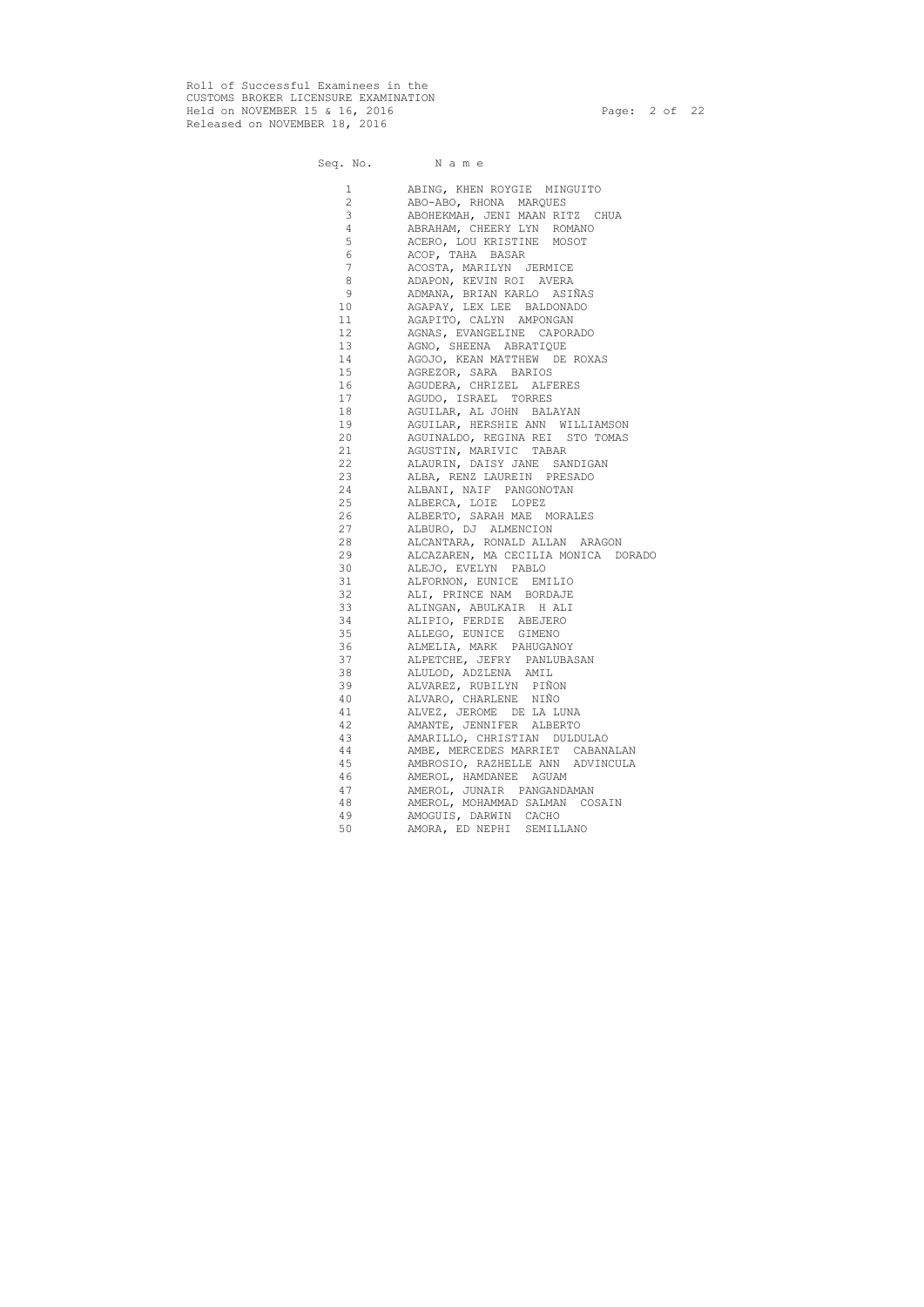Roll of Successful Examinees in the CUSTOMS BROKER LICENSURE EXAMINATION Held on NOVEMBER 15 & 16, 2016 Page: 2 of 22 Released on NOVEMBER 18, 2016

Seq. No. Name

| 1              | ABING, KHEN ROYGIE MINGUITO         |
|----------------|-------------------------------------|
| $\overline{2}$ | ABO-ABO, RHONA MARQUES              |
| 3              | ABOHEKMAH, JENI MAAN RITZ CHUA      |
| 4              | ABRAHAM, CHEERY LYN ROMANO          |
| 5              | ACERO, LOU KRISTINE MOSOT           |
| 6              | ACOP, TAHA BASAR                    |
| $\overline{7}$ | ACOSTA, MARILYN JERMICE             |
| $\,8\,$        | ADAPON, KEVIN ROI AVERA             |
| 9              | ADMANA, BRIAN KARLO ASIÑAS          |
| 10             | AGAPAY, LEX LEE BALDONADO           |
| 11             | AGAPITO, CALYN AMPONGAN             |
| 12             | AGNAS, EVANGELINE CAPORADO          |
| 13             | AGNO, SHEENA ABRATIQUE              |
| 14             | AGOJO, KEAN MATTHEW DE ROXAS        |
| 15             | AGREZOR, SARA BARIOS                |
| 16             | AGUDERA, CHRIZEL ALFERES            |
| 17             | AGUDO, ISRAEL TORRES                |
| 18             | AGUILAR, AL JOHN BALAYAN            |
| 19             | AGUILAR, HERSHIE ANN WILLIAMSON     |
| 20             | AGUINALDO, REGINA REI STO TOMAS     |
| 21             | AGUSTIN, MARIVIC TABAR              |
| 22             | ALAURIN, DAISY JANE SANDIGAN        |
| 23             | ALBA, RENZ LAUREIN PRESADO          |
| 24             | ALBANI, NAIF PANGONOTAN             |
| 25             | ALBERCA, LOIE LOPEZ                 |
| 26             | ALBERTO, SARAH MAE MORALES          |
| 27             | ALBURO, DJ ALMENCION                |
| 28             | ALCANTARA, RONALD ALLAN ARAGON      |
| 29             | ALCAZAREN, MA CECILIA MONICA DORADO |
| 30             | ALEJO, EVELYN PABLO                 |
| 31             | ALFORNON, EUNICE EMILIO             |
| 32             | ALI, PRINCE NAM BORDAJE             |
| 33             | ALINGAN, ABULKAIR H ALI             |
| 34             | ALIPIO, FERDIE ABEJERO              |
| 35             | ALLEGO, EUNICE GIMENO               |
| 36             | ALMELIA, MARK PAHUGANOY             |
| 37             | ALPETCHE, JEFRY PANLUBASAN          |
| 38             | ALULOD, ADZLENA AMIL                |
| 39             | ALVAREZ, RUBILYN PIÑON              |
| 40             | ALVARO, CHARLENE NIÑO               |
| 41             | ALVEZ, JEROME DE LA LUNA            |
| 42             | AMANTE, JENNIFER ALBERTO            |
| 43             | AMARILLO, CHRISTIAN DULDULAO        |
| 44             |                                     |
|                | AMBE, MERCEDES MARRIET CABANALAN    |
| 45             | AMBROSIO, RAZHELLE ANN ADVINCULA    |
| 46             | AMEROL, HAMDANEE AGUAM              |
| 47             | AMEROL, JUNAIR PANGANDAMAN          |
| 48             | AMEROL, MOHAMMAD SALMAN COSAIN      |
| 49             | AMOGUIS, DARWIN CACHO               |
| 50             | AMORA, ED NEPHI SEMILLANO           |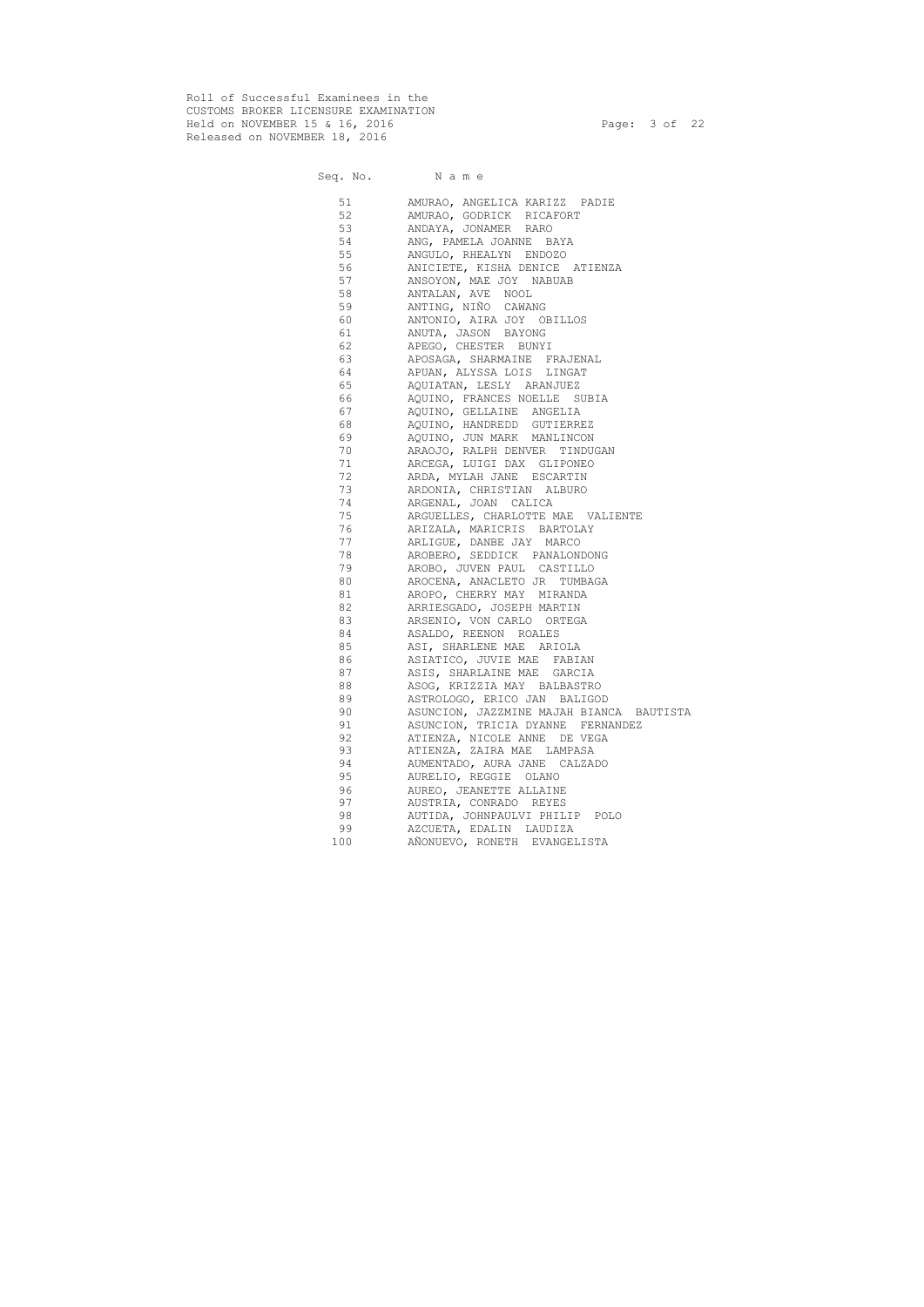Roll of Successful Examinees in the CUSTOMS BROKER LICENSURE EXAMINATION Held on NOVEMBER 15 & 16, 2016 Page: 3 of 22 Released on NOVEMBER 18, 2016

# Seq. No. Name 51 AMURAO, ANGELICA KARIZZ PADIE 52 AMURAO, GODRICK RICAFORT 53 ANDAYA, JONAMER RARO<br>54 ANG, PAMELA JOANNE BA ANG, PAMELA JOANNE BAYA 55 ANGULO, RHEALYN ENDOZO 56 ANICIETE, KISHA DENICE ATIENZA 57 ANSOYON, MAE JOY NABUAB 58 ANTALAN, AVE NOOL ANTING, NIÑO CAWANG 60 ANTONIO, AIRA JOY OBILLOS 61 ANUTA, JASON BAYONG 62 APEGO, CHESTER BUNYI 63 APOSAGA, SHARMAINE FRAJENAL 64 APUAN, ALYSSA LOIS LINGAT 65 AQUIATAN, LESLY ARANJUEZ 66 AQUINO, FRANCES NOELLE SUBIA 67 AQUINO, GELLAINE ANGELIA 68 AQUINO, HANDREDD GUTIERREZ 69 AQUINO, JUN MARK MANLINCON 70 ARAOJO, RALPH DENVER TINDUGAN 71 ARCEGA, LUIGI DAX GLIPONEO 72 ARDA, MYLAH JANE ESCARTIN 73 ARDONIA, CHRISTIAN ALBURO 74 ARGENAL, JOAN CALICA 75 ARGUELLES, CHARLOTTE MAE VALIENTE 76 ARIZALA, MARICRIS BARTOLAY 77 ARLIGUE, DANBE JAY MARCO 78 AROBERO, SEDDICK PANALONDONG 79 AROBO, JUVEN PAUL CASTILLO 80 AROCENA, ANACLETO JR TUMBAGA 81 AROPO, CHERRY MAY MIRANDA 82 ARRIESGADO, JOSEPH MARTIN 83 ARSENIO, VON CARLO ORTEGA 84 ASALDO, REENON ROALES 85 ASI, SHARLENE MAE ARIOLA 86 ASIATICO, JUVIE MAE FABIAN 87 ASIS, SHARLAINE MAE GARCIA 88 ASOG, KRIZZIA MAY BALBASTRO 89 ASTROLOGO, ERICO JAN BALIGOD 90 ASUNCION, JAZZMINE MAJAH BIANCA BAUTISTA 91 ASUNCION, TRICIA DYANNE FERNANDEZ 92 ATIENZA, NICOLE ANNE DE VEGA 93 ATIENZA, ZAIRA MAE LAMPASA 94 AUMENTADO, AURA JANE CALZADO 95 AURELIO, REGGIE OLANO 96 AUREO, JEANETTE ALLAINE 97 AUSTRIA, CONRADO REYES 98 AUTIDA, JOHNPAULVI PHILIP POLO 99 AZCUETA, EDALIN LAUDIZA 100 AÑONUEVO, RONETH EVANGELISTA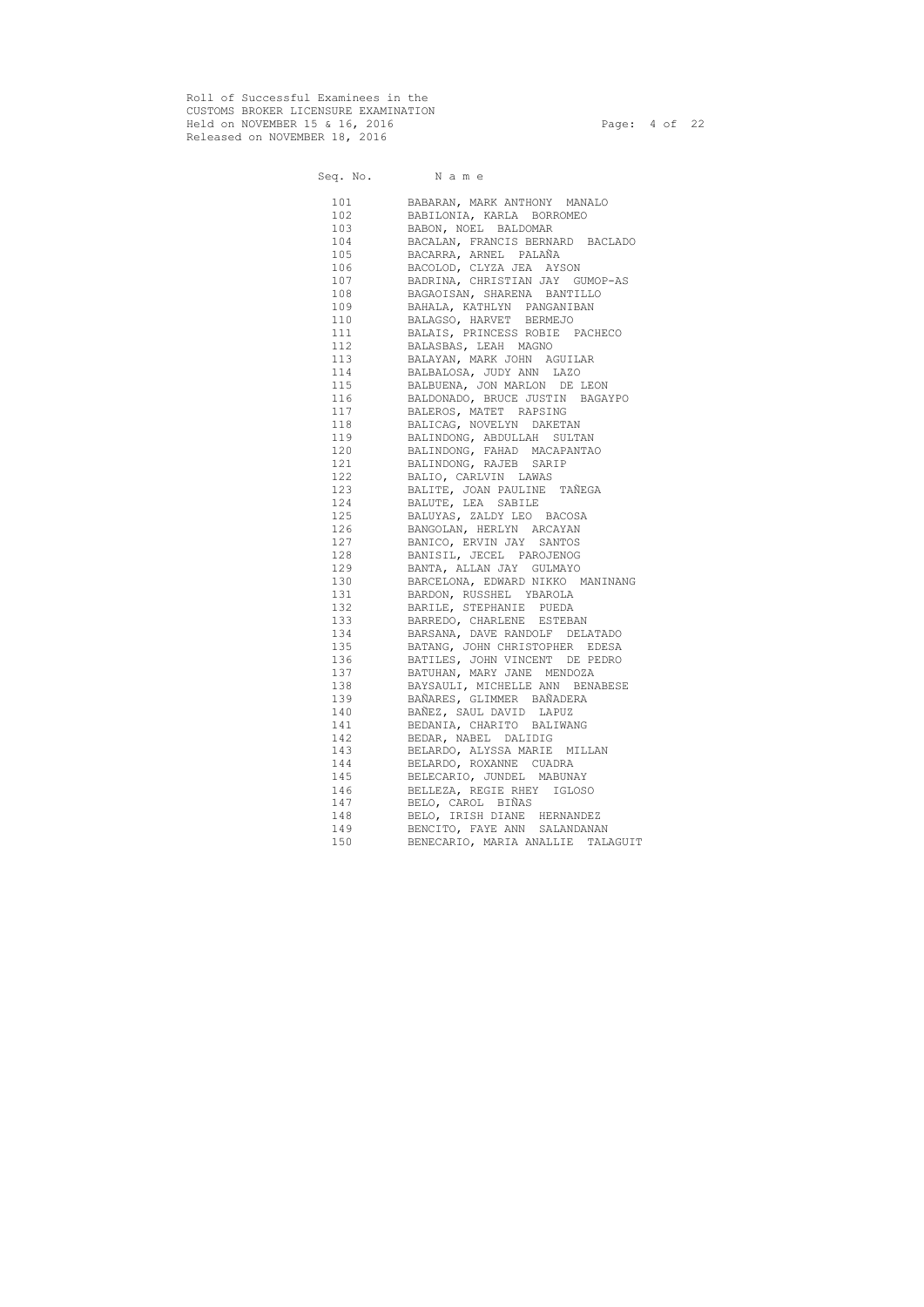Roll of Successful Examinees in the CUSTOMS BROKER LICENSURE EXAMINATION Held on NOVEMBER 15 & 16, 2016 Page: 4 of 22 Released on NOVEMBER 18, 2016

| Seq. No. Name                                                                                                                                                                                                                   |                                    |
|---------------------------------------------------------------------------------------------------------------------------------------------------------------------------------------------------------------------------------|------------------------------------|
| 101                                                                                                                                                                                                                             | BABARAN, MARK ANTHONY MANALO       |
| 102                                                                                                                                                                                                                             | BABILONIA, KARLA BORROMEO          |
| 103                                                                                                                                                                                                                             | BABON, NOEL BALDOMAR               |
| 104                                                                                                                                                                                                                             | BACALAN, FRANCIS BERNARD BACLADO   |
| 105                                                                                                                                                                                                                             | BACARRA, ARNEL PALAÑA              |
| 106                                                                                                                                                                                                                             | BACOLOD, CLYZA JEA AYSON           |
| 107                                                                                                                                                                                                                             | BADRINA, CHRISTIAN JAY GUMOP-AS    |
| 108                                                                                                                                                                                                                             | BAGAOISAN, SHARENA BANTILLO        |
| 109                                                                                                                                                                                                                             | BAHALA, KATHLYN PANGANIBAN         |
| 110                                                                                                                                                                                                                             | BALAGSO, HARVET BERMEJO            |
| 111                                                                                                                                                                                                                             | BALAIS, PRINCESS ROBIE PACHECO     |
| 112                                                                                                                                                                                                                             | BALASBAS, LEAH MAGNO               |
| 113                                                                                                                                                                                                                             | BALAYAN, MARK JOHN AGUILAR         |
| 114                                                                                                                                                                                                                             | BALBALOSA, JUDY ANN LAZO           |
| 115                                                                                                                                                                                                                             | BALBUENA, JON MARLON DE LEON       |
| 116                                                                                                                                                                                                                             | BALDONADO, BRUCE JUSTIN BAGAYPO    |
| 117                                                                                                                                                                                                                             | BALEROS, MATET RAPSING             |
| 118                                                                                                                                                                                                                             | BALICAG, NOVELYN DAKETAN           |
| 119                                                                                                                                                                                                                             | BALINDONG, ABDULLAH SULTAN         |
| 120                                                                                                                                                                                                                             | BALINDONG, FAHAD MACAPANTAO        |
| 121                                                                                                                                                                                                                             | BALINDONG, RAJEB SARIP             |
| 122                                                                                                                                                                                                                             | BALIO, CARLVIN LAWAS               |
| 123                                                                                                                                                                                                                             | BALITE, JOAN PAULINE TAÑEGA        |
| 124                                                                                                                                                                                                                             | BALUTE, LEA SABILE                 |
| 125                                                                                                                                                                                                                             | BALUYAS, ZALDY LEO BACOSA          |
| 126                                                                                                                                                                                                                             | BANGOLAN, HERLYN ARCAYAN           |
| 127                                                                                                                                                                                                                             | BANICO, ERVIN JAY SANTOS           |
| 128                                                                                                                                                                                                                             | BANISIL, JECEL PAROJENOG           |
| 129                                                                                                                                                                                                                             | BANTA, ALLAN JAY GULMAYO           |
| 130                                                                                                                                                                                                                             | BARCELONA, EDWARD NIKKO MANINANG   |
| 131 — 131 — 131 — 132 — 132 — 132 — 132 — 132 — 132 — 132 — 132 — 132 — 132 — 132 — 132 — 132 — 132 — 132 — 132 — 132 — 132 — 132 — 133 — 133 — 133 — 133 — 133 — 133 — 133 — 133 — 133 — 133 — 133 — 133 — 133 — 133 — 133 — 1 | BARDON, RUSSHEL YBAROLA            |
| 132                                                                                                                                                                                                                             | BARILE, STEPHANIE PUEDA            |
| 133                                                                                                                                                                                                                             | BARREDO, CHARLENE ESTEBAN          |
|                                                                                                                                                                                                                                 | 134 BARSANA, DAVE RANDOLF DELATADO |
| 135                                                                                                                                                                                                                             | BATANG, JOHN CHRISTOPHER EDESA     |
| 136                                                                                                                                                                                                                             | BATILES, JOHN VINCENT DE PEDRO     |
| 137                                                                                                                                                                                                                             | BATUHAN, MARY JANE MENDOZA         |
| 138                                                                                                                                                                                                                             | BAYSAULI, MICHELLE ANN BENABESE    |
| 139                                                                                                                                                                                                                             | BAÑARES, GLIMMER BAÑADERA          |
| 140                                                                                                                                                                                                                             | BAÑEZ, SAUL DAVID LAPUZ            |
| 141                                                                                                                                                                                                                             | BEDANIA, CHARITO BALIWANG          |
| 142                                                                                                                                                                                                                             | BEDAR, NABEL DALIDIG               |
| 143                                                                                                                                                                                                                             | BELARDO, ALYSSA MARIE MILLAN       |
| 144                                                                                                                                                                                                                             | BELARDO, ROXANNE CUADRA            |
| 145                                                                                                                                                                                                                             | BELECARIO, JUNDEL MABUNAY          |
| 146                                                                                                                                                                                                                             | BELLEZA, REGIE RHEY IGLOSO         |
| 147                                                                                                                                                                                                                             | BELO, CAROL BIÑAS                  |
| 148                                                                                                                                                                                                                             | BELO, IRISH DIANE HERNANDEZ        |
| 149                                                                                                                                                                                                                             | BENCITO, FAYE ANN SALANDANAN       |
| 150                                                                                                                                                                                                                             | BENECARIO, MARIA ANALLIE TALAGUIT  |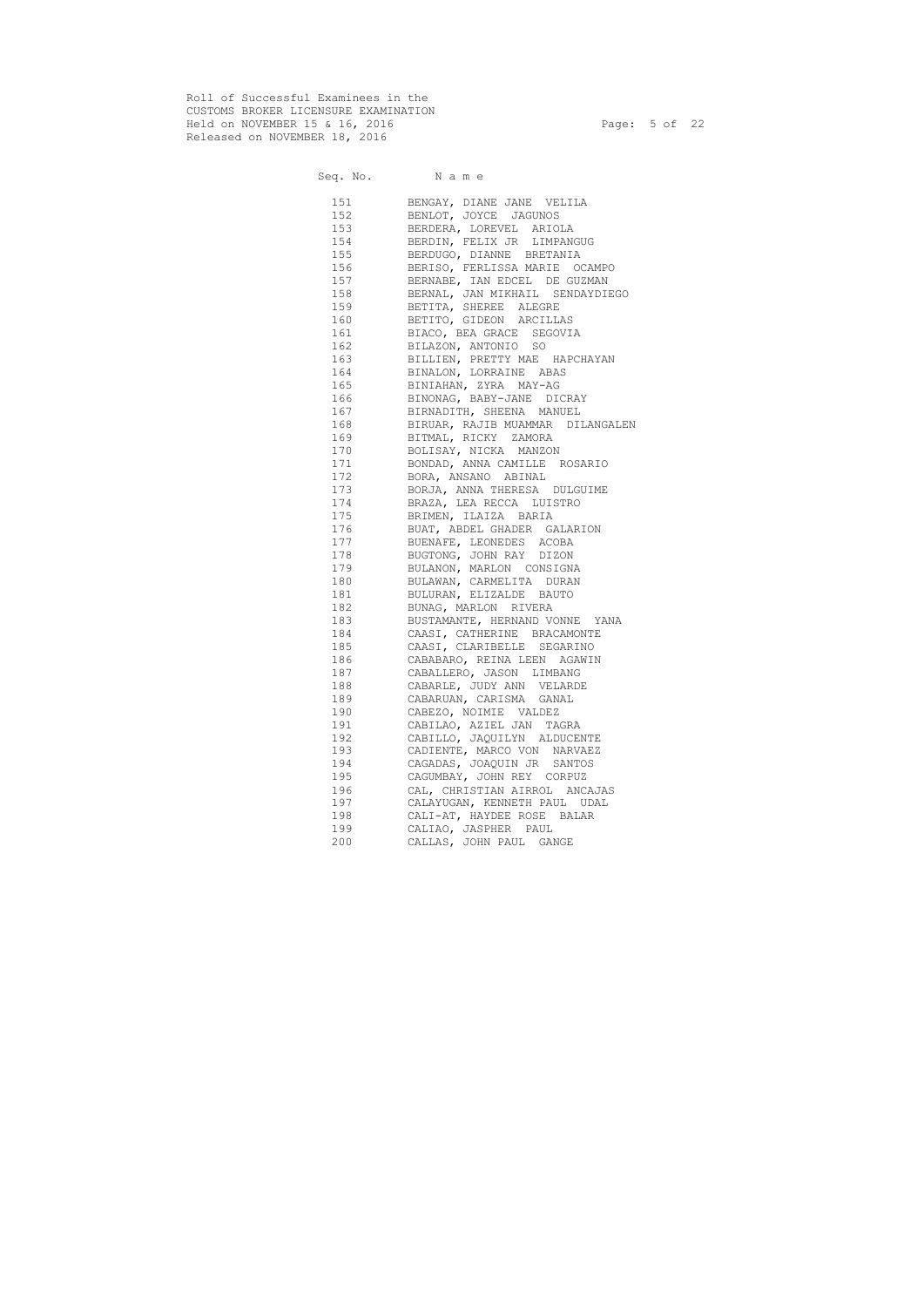Roll of Successful Examinees in the CUSTOMS BROKER LICENSURE EXAMINATION Held on NOVEMBER 15 & 16, 2016 Page: 5 of 22 Released on NOVEMBER 18, 2016

|            | Seq. No. Name                                     |
|------------|---------------------------------------------------|
|            | 151 BENGAY, DIANE JANE VELILA                     |
|            | 152 BENLOT, JOYCE JAGUNOS                         |
|            | 153 BERDERA, LOREVEL ARIOLA                       |
|            | 154 BERDIN, FELIX JR LIMPANGUG                    |
|            | 155 BERDUGO, DIANNE BRETANIA                      |
|            | 156 BERISO, FERLISSA MARIE OCAMPO                 |
|            | 157 BERNABE, IAN EDCEL DE GUZMAN                  |
|            | 158 BERNAL, JAN MIKHAIL SENDAYDIEGO               |
|            | 159 BETITA, SHEREE ALEGRE                         |
|            | 160 BETITO, GIDEON ARCILLAS                       |
|            | 161 BIACO, BEA GRACE SEGOVIA                      |
|            | 162 BILAZON, ANTONIO SO                           |
|            | 163 BILLIEN, PRETTY MAE HAPCHAYAN                 |
|            | 164 BINALON, LORRAINE ABAS                        |
|            | 165 BINIAHAN, ZYRA MAY-AG                         |
|            | 166 BINONAG, BABY-JANE DICRAY                     |
|            | 167 BIRNADITH, SHEENA MANUEL                      |
|            | 168 BIRUAR, RAJIB MUAMMAR DILANGALEN              |
|            | 169 BITMAL, RICKY ZAMORA                          |
|            | 170 BOLISAY, NICKA MANZON                         |
|            | 171 BONDAD, ANNA CAMILLE ROSARIO                  |
|            | 172 BORA, ANSANO ABINAL                           |
|            | 173 BORJA, ANNA THERESA DULGUIME                  |
|            | 174 BRAZA, LEA RECCA LUISTRO                      |
|            | 175 BRIMEN, ILAIZA BARIA                          |
| 176        | BUAT, ABDEL GHADER GALARION                       |
| 177        | BUENAFE, LEONEDES ACOBA                           |
| 178        | BUGTONG, JOHN RAY DIZON                           |
| 179        | BULANON, MARLON CONSIGNA                          |
| 180        | BULAWAN, CARMELITA DURAN                          |
| 181        | BULURAN, ELIZALDE BAUTO                           |
| 182        | BUNAG, MARLON RIVERA                              |
| 183        | BUSTAMANTE, HERNAND VONNE YANA                    |
| 184        | CAASI, CATHERINE BRACAMONTE                       |
| 185        | CAASI, CLARIBELLE SEGARINO                        |
| 186        | CABABARO, REINA LEEN AGAWIN                       |
| 187        | CABALLERO, JASON LIMBANG                          |
| 188        | CABARLE, JUDY ANN VELARDE                         |
| 189        | CABARUAN, CARISMA GANAL                           |
| 190<br>191 | CABEZO, NOIMIE VALDEZ<br>CABILAO, AZIEL JAN TAGRA |
| 192        | CABILLO, JAQUILYN ALDUCENTE                       |
| 193        | CADIENTE, MARCO VON NARVAEZ                       |
| 194        | CAGADAS, JOAQUIN JR SANTOS                        |
| 195        | CAGUMBAY, JOHN REY CORPUZ                         |
| 196        | CAL, CHRISTIAN AIRROL ANCAJAS                     |
| 197        | CALAYUGAN, KENNETH PAUL UDAL                      |
| 198        | CALI-AT, HAYDEE ROSE BALAR                        |
| 199        | CALIAO, JASPHER PAUL                              |
| 200        | CALLAS, JOHN PAUL GANGE                           |
|            |                                                   |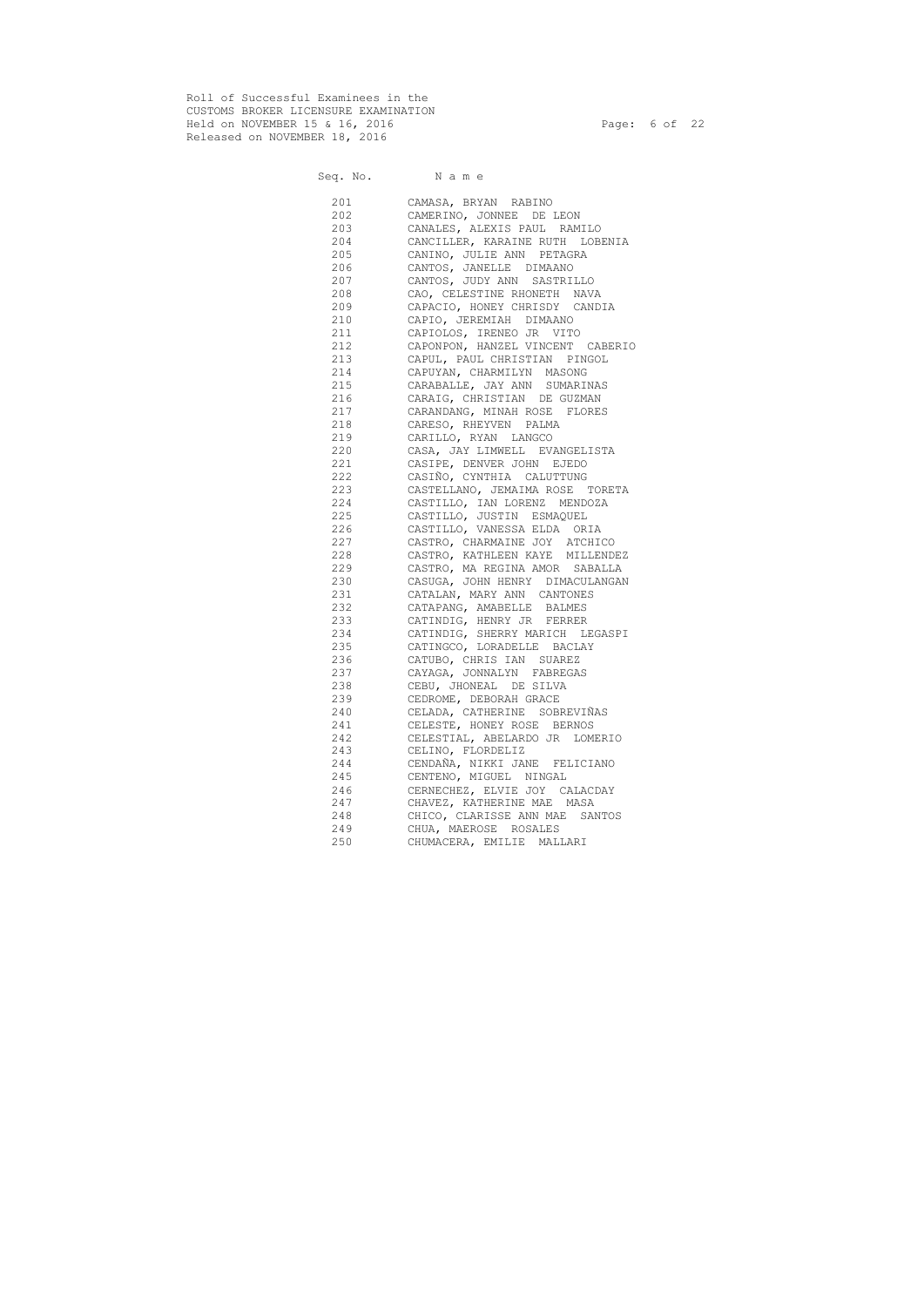Roll of Successful Examinees in the CUSTOMS BROKER LICENSURE EXAMINATION Held on NOVEMBER 15 & 16, 2016 Page: 6 of 22 Released on NOVEMBER 18, 2016

Seq. No. Name 201 CAMASA, BRYAN RABINO 202 CAMERINO, JONNEE DE LEON 203 CANALES, ALEXIS PAUL RAMILO 204 CANCILLER, KARAINE RUTH LOBENIA 205 CANINO, JULIE ANN PETAGRA 206 CANTOS, JANELLE DIMAANO 207 CANTOS, JUDY ANN SASTRILLO 208 CAO, CELESTINE RHONETH NAVA 209 CAPACIO, HONEY CHRISDY CANDIA 210 CAPIO, JEREMIAH DIMAANO 211 CAPIOLOS, IRENEO JR VITO 212 CAPONPON, HANZEL VINCENT CABERIO 213 CAPUL, PAUL CHRISTIAN PINGOL 214 CAPUYAN, CHARMILYN MASONG 215 CARABALLE, JAY ANN SUMARINAS 216 CARAIG, CHRISTIAN DE GUZMAN 217 CARANDANG, MINAH ROSE FLORES 218 CARESO, RHEYVEN PALMA 219 CARILLO, RYAN LANGCO 220 CASA, JAY LIMWELL EVANGELISTA 221 CASIPE, DENVER JOHN EJEDO 222 CASIÑO, CYNTHIA CALUTTUNG 223 CASTELLANO, JEMAIMA ROSE TORETA 224 CASTILLO, IAN LORENZ MENDOZA 225 CASTILLO, JUSTIN ESMAQUEL 226 CASTILLO, VANESSA ELDA ORIA 227 CASTRO, CHARMAINE JOY ATCHICO 228 CASTRO, KATHLEEN KAYE MILLENDEZ 229 CASTRO, MA REGINA AMOR SABALLA 230 CASUGA, JOHN HENRY DIMACULANGAN 231 CATALAN, MARY ANN CANTONES 232 CATAPANG, AMABELLE BALMES 233 CATINDIG, HENRY JR FERRER 234 CATINDIG, SHERRY MARICH LEGASPI 235 CATINGCO, LORADELLE BACLAY 236 CATUBO, CHRIS IAN SUAREZ 237 CAYAGA, JONNALYN FABREGAS 238 CEBU, JHONEAL DE SILVA 239 CEDROME, DEBORAH GRACE 240 CELADA, CATHERINE SOBREVIÑAS 241 CELESTE, HONEY ROSE BERNOS 242 CELESTIAL, ABELARDO JR LOMERIO 243 CELINO, FLORDELIZ 244 CENDAÑA, NIKKI JANE FELICIANO 245 CENTENO, MIGUEL NINGAL 246 CERNECHEZ, ELVIE JOY CALACDAY 247 CHAVEZ, KATHERINE MAE MASA 248 CHICO, CLARISSE ANN MAE SANTOS 249 CHUA, MAEROSE ROSALES 250 CHUMACERA, EMILIE MALLARI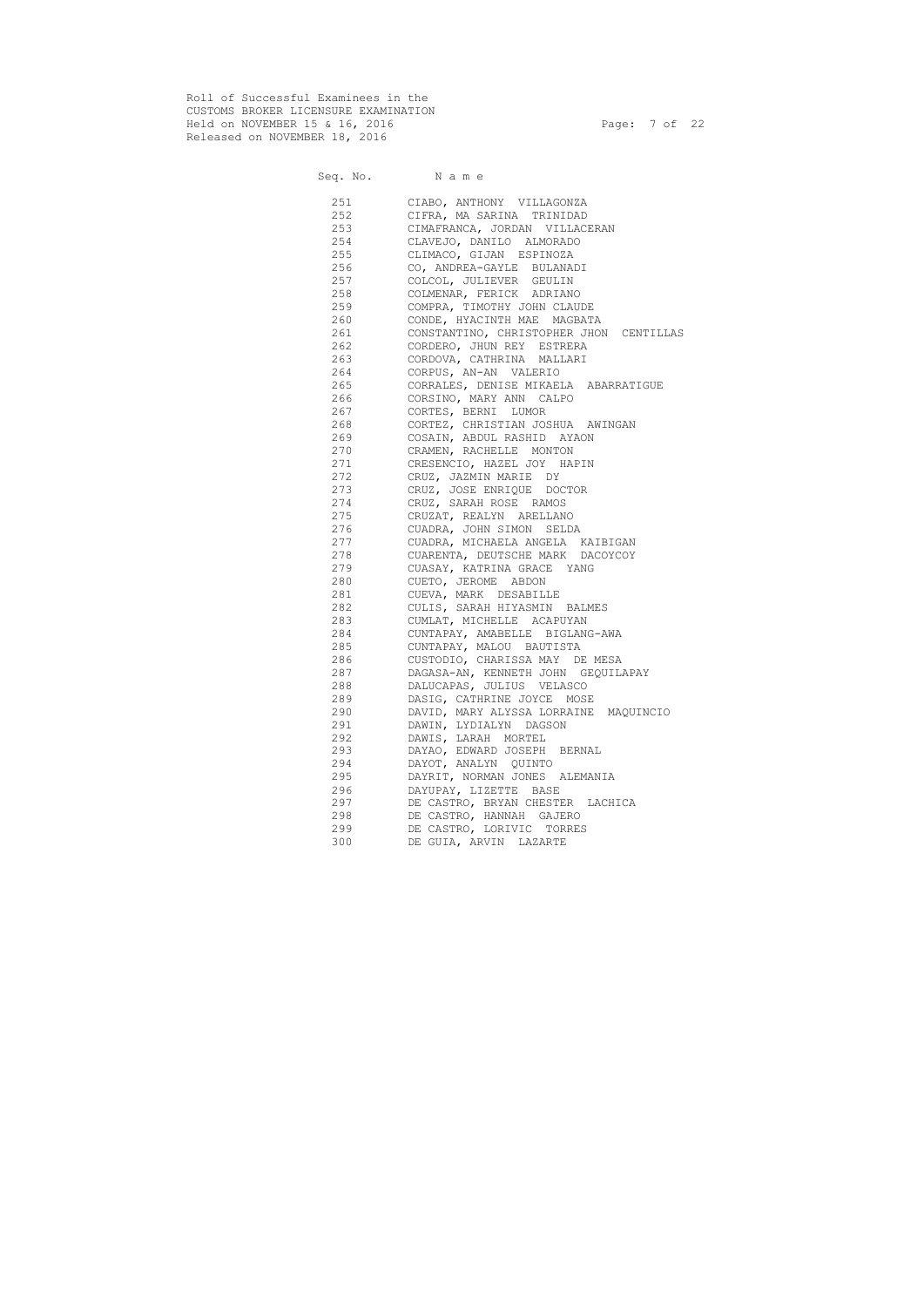Roll of Successful Examinees in the CUSTOMS BROKER LICENSURE EXAMINATION Held on NOVEMBER 15 & 16, 2016 Page: 7 of 22 Released on NOVEMBER 18, 2016

Seq. No. Name 251 CIABO, ANTHONY VILLAGONZA 252 CIFRA, MA SARINA TRINIDAD 253 CIMAFRANCA, JORDAN VILLACERAN 254 CLAVEJO, DANILO ALMORADO 255 CLIMACO, GIJAN ESPINOZA 256 CO, ANDREA-GAYLE BULANADI 257 COLCOL, JULIEVER GEULIN 258 COLMENAR, FERICK ADRIANO 259 COMPRA, TIMOTHY JOHN CLAUDE 260 CONDE, HYACINTH MAE MAGBATA 261 CONSTANTINO, CHRISTOPHER JHON CENTILLAS 262 CORDERO, JHUN REY ESTRERA 263 CORDOVA, CATHRINA MALLARI 264 CORPUS, AN-AN VALERIO 265 CORRALES, DENISE MIKAELA ABARRATIGUE 266 CORSINO, MARY ANN CALPO 267 CORTES, BERNI LUMOR 268 CORTEZ, CHRISTIAN JOSHUA AWINGAN 269 COSAIN, ABDUL RASHID AYAON 270 CRAMEN, RACHELLE MONTON 271 CRESENCIO, HAZEL JOY HAPIN 272 CRUZ, JAZMIN MARIE DY 273 CRUZ, JOSE ENRIQUE DOCTOR 274 CRUZ, SARAH ROSE RAMOS 275 CRUZAT, REALYN ARELLANO 276 CUADRA, JOHN SIMON SELDA 277 CUADRA, MICHAELA ANGELA KAIBIGAN 278 CUARENTA, DEUTSCHE MARK DACOYCOY 279 CUASAY, KATRINA GRACE YANG 280 CUETO, JEROME ABDON 281 CUEVA, MARK DESABILLE 282 CULIS, SARAH HIYASMIN BALMES 283 CUMLAT, MICHELLE ACAPUYAN 284 CUNTAPAY, AMABELLE BIGLANG-AWA 285 CUNTAPAY, MALOU BAUTISTA 286 CUSTODIO, CHARISSA MAY DE MESA 287 DAGASA-AN, KENNETH JOHN GEQUILAPAY 288 DALUCAPAS, JULIUS VELASCO 289 DASIG, CATHRINE JOYCE MOSE 290 DAVID, MARY ALYSSA LORRAINE MAQUINCIO 291 DAWIN, LYDIALYN DAGSON 292 DAWIS, LARAH MORTEL 293 DAYAO, EDWARD JOSEPH BERNAL 294 DAYOT, ANALYN QUINTO 295 DAYRIT, NORMAN JONES ALEMANIA 296 DAYUPAY, LIZETTE BASE 297 DE CASTRO, BRYAN CHESTER LACHICA 298 DE CASTRO, HANNAH GAJERO 299 DE CASTRO, LORIVIC TORRES 300 DE GUIA, ARVIN LAZARTE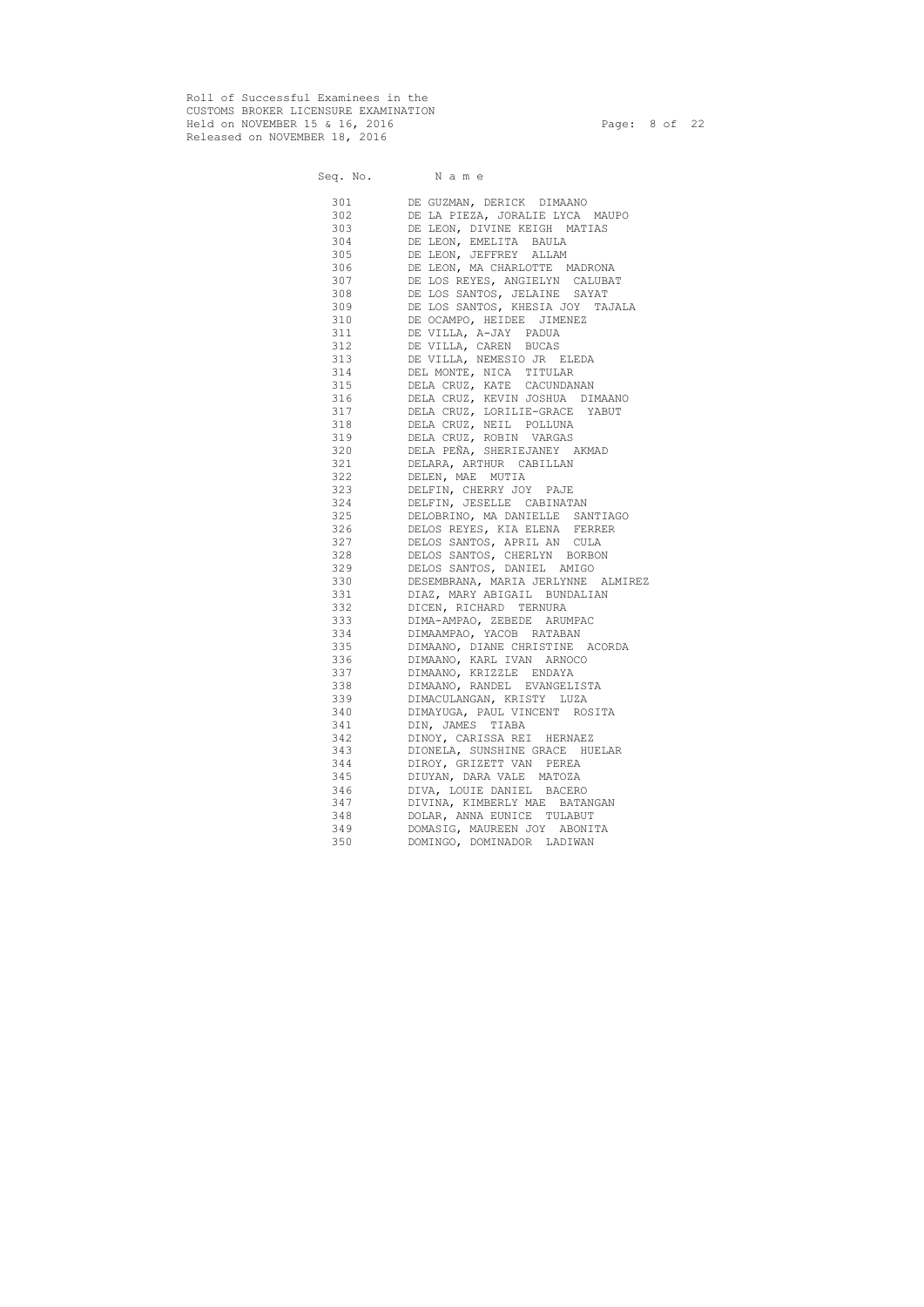Roll of Successful Examinees in the CUSTOMS BROKER LICENSURE EXAMINATION Held on NOVEMBER 15 & 16, 2016 Page: 8 of 22 Released on NOVEMBER 18, 2016

Seq. No. Name 301 DE GUZMAN, DERICK DIMAANO 302 DE LA PIEZA, JORALIE LYCA MAUPO 303 DE LEON, DIVINE KEIGH MATIAS 304 DE LEON, EMELITA BAULA 305 DE LEON, JEFFREY ALLAM 306 DE LEON, MA CHARLOTTE MADRONA 307 DE LOS REYES, ANGIELYN CALUBAT 308 DE LOS SANTOS, JELAINE SAYAT 309 DE LOS SANTOS, KHESIA JOY TAJALA 310 DE OCAMPO, HEIDEE JIMENEZ 311 DE VILLA, A-JAY PADUA 312 DE VILLA, CAREN BUCAS 313 DE VILLA, NEMESIO JR ELEDA 314 DEL MONTE, NICA TITULAR 315 DELA CRUZ, KATE CACUNDANAN 316 DELA CRUZ, KEVIN JOSHUA DIMAANO 317 DELA CRUZ, LORILIE-GRACE YABUT 318 DELA CRUZ, NEIL POLLUNA 319 DELA CRUZ, ROBIN VARGAS 320 DELA PEÑA, SHERIEJANEY AKMAD 321 DELARA, ARTHUR CABILLAN 322 DELEN, MAE MUTIA 323 DELFIN, CHERRY JOY PAJE 324 DELFIN, JESELLE CABINATAN 325 DELOBRINO, MA DANIELLE SANTIAGO 326 DELOS REYES, KIA ELENA FERRER 327 DELOS SANTOS, APRIL AN CULA 328 DELOS SANTOS, CHERLYN BORBON 329 DELOS SANTOS, DANIEL AMIGO 330 DESEMBRANA, MARIA JERLYNNE ALMIREZ 331 DIAZ, MARY ABIGAIL BUNDALIAN 332 DICEN, RICHARD TERNURA 333 DIMA-AMPAO, ZEBEDE ARUMPAC 334 DIMAAMPAO, YACOB RATABAN 335 DIMAANO, DIANE CHRISTINE ACORDA 336 DIMAANO, KARL IVAN ARNOCO 337 DIMAANO, KRIZZLE ENDAYA 338 DIMAANO, RANDEL EVANGELISTA 339 DIMACULANGAN, KRISTY LUZA 340 DIMAYUGA, PAUL VINCENT ROSITA 341 DIN, JAMES TIABA 342 DINOY, CARISSA REI HERNAEZ 343 DIONELA, SUNSHINE GRACE HUELAR 344 DIROY, GRIZETT VAN PEREA 345 DIUYAN, DARA VALE MATOZA 346 DIVA, LOUIE DANIEL BACERO 347 DIVINA, KIMBERLY MAE BATANGAN 348 DOLAR, ANNA EUNICE TULABUT 349 DOMASIG, MAUREEN JOY ABONITA 350 DOMINGO, DOMINADOR LADIWAN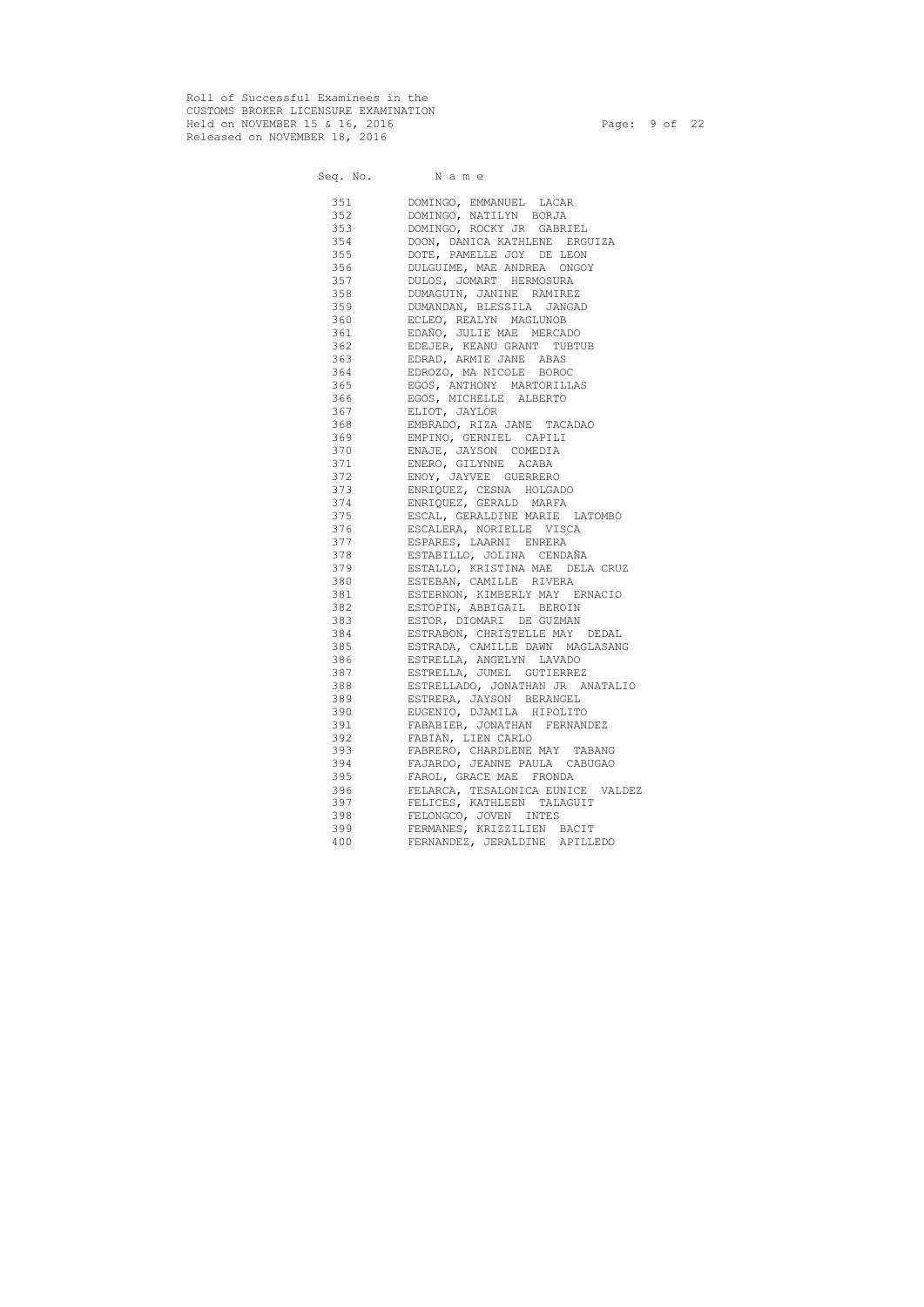Roll of Successful Examinees in the CUSTOMS BROKER LICENSURE EXAMINATION Held on NOVEMBER 15 & 16, 2016 Page: 9 of 22 Released on NOVEMBER 18, 2016

|            | Seq. No. Name                                                   |
|------------|-----------------------------------------------------------------|
| 351        | DOMINGO, EMMANUEL LACAR                                         |
| 352        | DOMINGO, NATILYN BORJA                                          |
| 353        | DOMINGO, ROCKY JR GABRIEL                                       |
| 354        | DOON, DANICA KATHLENE ERGUIZA                                   |
| 355        | DOTE, PAMELLE JOY DE LEON                                       |
| 356        | DULGUIME, MAE ANDREA ONGOY                                      |
| 357        | DULOS, JOMART HERMOSURA                                         |
| 358        | DUMAGUIN, JANINE RAMIREZ                                        |
| 359        | DUMANDAN, BLESSILA JANGAD                                       |
| 360        | ECLEO, REALYN MAGLUNOB                                          |
| 361        | EDAÑO, JULIE MAE MERCADO                                        |
| 362        | EDEJER, KEANU GRANT TUBTUB                                      |
| 363        | EDRAD, ARMIE JANE ABAS                                          |
| 364        | EDROZO, MA NICOLE BOROC                                         |
| 365        | EGOS, ANTHONY MARTORILLAS                                       |
| 366        | EGOS, MICHELLE ALBERTO                                          |
| 367        | ELIOT, JAYLOR                                                   |
| 368        | EMBRADO, RIZA JANE TACADAO                                      |
| 369        | EMPINO, GERNIEL CAPILI                                          |
| 370        | ENAJE, JAYSON COMEDIA                                           |
| 371        | ENERO, GILYNNE ACABA                                            |
| 372        | ENOY, JAYVEE GUERRERO                                           |
| 373        | ENRIQUEZ, CESNA HOLGADO                                         |
| 374        | ENRIQUEZ, GERALD MARFA                                          |
| 375        | ESCAL, GERALDINE MARIE LATOMBO                                  |
| 376        | ESCALERA, NORIELLE VISCA                                        |
| 377        | ESPARES, LAARNI ENRERA                                          |
| 378        | ESTABILLO, JOLINA CENDAÑA                                       |
| 379        | ESTALLO, KRISTINA MAE DELA CRUZ                                 |
| 380        | ESTEBAN, CAMILLE RIVERA                                         |
|            | ESTERNON, KIMBERLY MAY ERNACIO                                  |
| 382        | ESTOPIN, ABBIGAIL BEROIN                                        |
| 383        | ESTOR, DIOMARI DE GUZMAN                                        |
| 384        | ESTRABON, CHRISTELLE MAY DEDAL                                  |
| 385 386    | ESTRADA, CAMILLE DAWN MAGLASANG                                 |
| 386        | ESTRELLA, ANGELYN LAVADO                                        |
| 387        | ESTRELLA, JUMEL GUTIERREZ                                       |
| 388        | ESTRELLADO, JONATHAN JR ANATALIO                                |
| 389        | ESTRERA, JAYSON BERANGEL                                        |
| 390        | EUGENIO, DJAMILA HIPOLITO                                       |
| 391        | FABABIER, JONATHAN FERNANDEZ                                    |
| 392        | FABIAN, LIEN CARLO                                              |
| 393<br>394 | FABRERO, CHARDLENE MAY TABANG<br>FAJARDO, JEANNE PAULA CABUGAO  |
| 395        | FAROL, GRACE MAE FRONDA                                         |
|            |                                                                 |
| 396<br>397 | FELARCA, TESALONICA EUNICE VALDEZ<br>FELICES, KATHLEEN TALAGUIT |
| 398        | FELONGCO, JOVEN INTES                                           |
| 399        | FERMANES, KRIZZILIEN BACIT                                      |
| 400        | FERNANDEZ, JERALDINE APILLEDO                                   |
|            |                                                                 |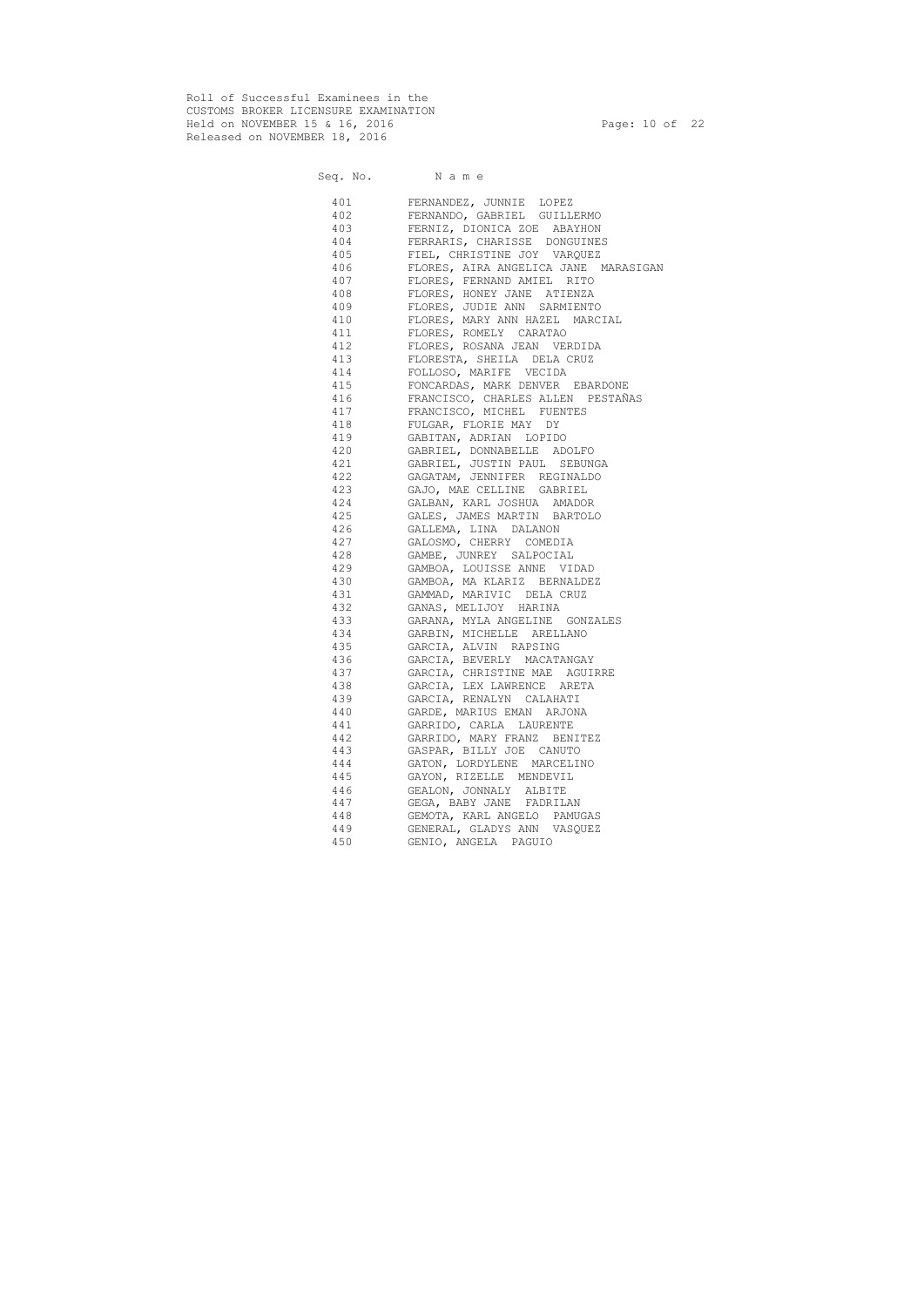Roll of Successful Examinees in the CUSTOMS BROKER LICENSURE EXAMINATION Held on NOVEMBER 15 & 16, 2016 Page: 10 of 22 Released on NOVEMBER 18, 2016

Seq. No. Name 401 FERNANDEZ, JUNNIE LOPEZ 402 FERNANDO, GABRIEL GUILLERMO 403 FERNIZ, DIONICA ZOE ABAYHON 404 FERRARIS, CHARISSE DONGUINES 405 FIEL, CHRISTINE JOY VARQUEZ 406 FLORES, AIRA ANGELICA JANE MARASIGAN 407 FLORES, FERNAND AMIEL RITO 408 FLORES, HONEY JANE ATIENZA 409 FLORES, JUDIE ANN SARMIENTO 410 FLORES, MARY ANN HAZEL MARCIAL 411 FLORES, ROMELY CARATAO 412 FLORES, ROSANA JEAN VERDIDA 413 FLORESTA, SHEILA DELA CRUZ 414 FOLLOSO, MARIFE VECIDA 415 FONCARDAS, MARK DENVER EBARDONE 416 FRANCISCO, CHARLES ALLEN PESTAÑAS 417 FRANCISCO, MICHEL FUENTES 418 FULGAR, FLORIE MAY DY 419 GABITAN, ADRIAN LOPIDO 420 GABRIEL, DONNABELLE ADOLFO 421 GABRIEL, JUSTIN PAUL SEBUNGA 422 GAGATAM, JENNIFER REGINALDO 423 GAJO, MAE CELLINE GABRIEL 424 GALBAN, KARL JOSHUA AMADOR 425 GALES, JAMES MARTIN BARTOLO 426 GALLEMA, LINA DALANON 427 GALOSMO, CHERRY COMEDIA 428 GAMBE, JUNREY SALPOCIAL 429 GAMBOA, LOUISSE ANNE VIDAD 430 GAMBOA, MA KLARIZ BERNALDEZ 431 GAMMAD, MARIVIC DELA CRUZ 432 GANAS, MELIJOY HARINA 433 GARANA, MYLA ANGELINE GONZALES 434 GARBIN, MICHELLE ARELLANO 435 GARCIA, ALVIN RAPSING 436 GARCIA, BEVERLY MACATANGAY 437 GARCIA, CHRISTINE MAE AGUIRRE 438 GARCIA, LEX LAWRENCE ARETA 439 GARCIA, RENALYN CALAHATI 440 GARDE, MARIUS EMAN ARJONA 441 GARRIDO, CARLA LAURENTE 442 GARRIDO, MARY FRANZ BENITEZ 443 GASPAR, BILLY JOE CANUTO 444 GATON, LORDYLENE MARCELINO 445 GAYON, RIZELLE MENDEVIL 446 GEALON, JONNALY ALBITE 447 GEGA, BABY JANE FADRILAN 448 GEMOTA, KARL ANGELO PAMUGAS 449 GENERAL, GLADYS ANN VASQUEZ 450 GENIO, ANGELA PAGUIO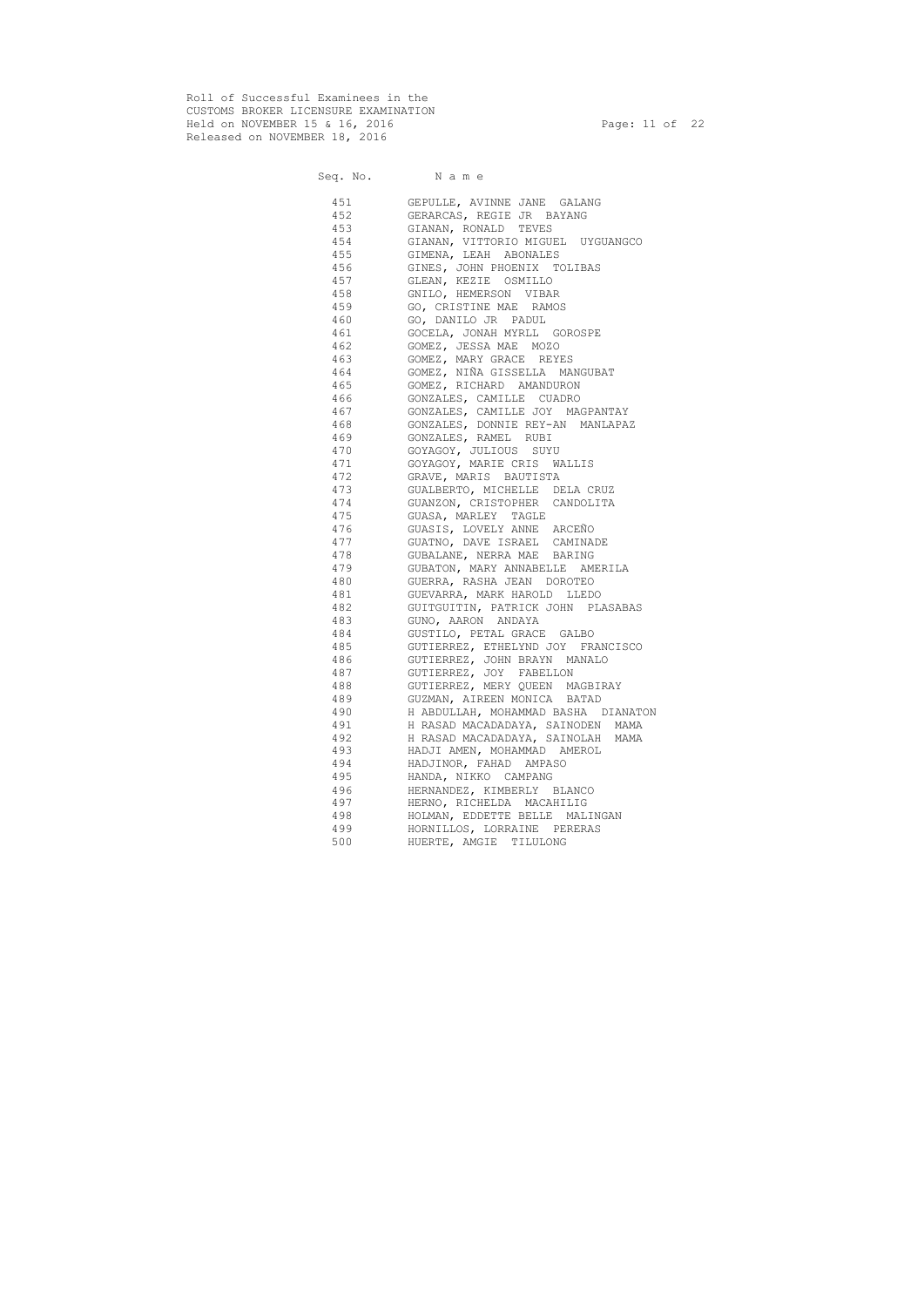Roll of Successful Examinees in the CUSTOMS BROKER LICENSURE EXAMINATION Held on NOVEMBER 15 & 16, 2016 Page: 11 of 22 Released on NOVEMBER 18, 2016

# Seq. No. Name 451 GEPULLE, AVINNE JANE GALANG 452 GERARCAS, REGIE JR BAYANG 453 GIANAN, RONALD TEVES 454 GIANAN, VITTORIO MIGUEL UYGUANGCO 455 GIMENA, LEAH ABONALES 456 GINES, JOHN PHOENIX TOLIBAS 457 GLEAN, KEZIE OSMILLO 458 GNILO, HEMERSON VIBAR 459 GO, CRISTINE MAE RAMOS 460 GO, DANILO JR PADUL 461 GOCELA, JONAH MYRLL GOROSPE 462 GOMEZ, JESSA MAE MOZO 463 GOMEZ, MARY GRACE REYES 464 GOMEZ, NIÑA GISSELLA MANGUBAT 465 GOMEZ, RICHARD AMANDURON 466 GONZALES, CAMILLE CUADRO 467 GONZALES, CAMILLE JOY MAGPANTAY 468 GONZALES, DONNIE REY-AN MANLAPAZ 469 GONZALES, RAMEL RUBI 470 GOYAGOY, JULIOUS SUYU 471 GOYAGOY, MARIE CRIS WALLIS 472 GRAVE, MARIS BAUTISTA 473 GUALBERTO, MICHELLE DELA CRUZ 474 GUANZON, CRISTOPHER CANDOLITA 475 GUASA, MARLEY TAGLE 476 GUASIS, LOVELY ANNE ARCEÑO 477 GUATNO, DAVE ISRAEL CAMINADE 478 GUBALANE, NERRA MAE BARING 479 GUBATON, MARY ANNABELLE AMERILA 480 GUERRA, RASHA JEAN DOROTEO 481 GUEVARRA, MARK HAROLD LLEDO 482 GUITGUITIN, PATRICK JOHN PLASABAS 483 GUNO, AARON ANDAYA 484 GUSTILO, PETAL GRACE GALBO 485 GUTIERREZ, ETHELYND JOY FRANCISCO 486 GUTIERREZ, JOHN BRAYN MANALO 487 GUTIERREZ, JOY FABELLON 488 GUTIERREZ, MERY QUEEN MAGBIRAY 489 GUZMAN, AIREEN MONICA BATAD 490 H ABDULLAH, MOHAMMAD BASHA DIANATON 491 H RASAD MACADADAYA, SAINODEN MAMA 492 H RASAD MACADADAYA, SAINOLAH MAMA 493 HADJI AMEN, MOHAMMAD AMEROL 494 HADJINOR, FAHAD AMPASO 495 HANDA, NIKKO CAMPANG 496 HERNANDEZ, KIMBERLY BLANCO 497 HERNO, RICHELDA MACAHILIG 498 HOLMAN, EDDETTE BELLE MALINGAN 499 HORNILLOS, LORRAINE PERERAS 500 HUERTE, AMGIE TILULONG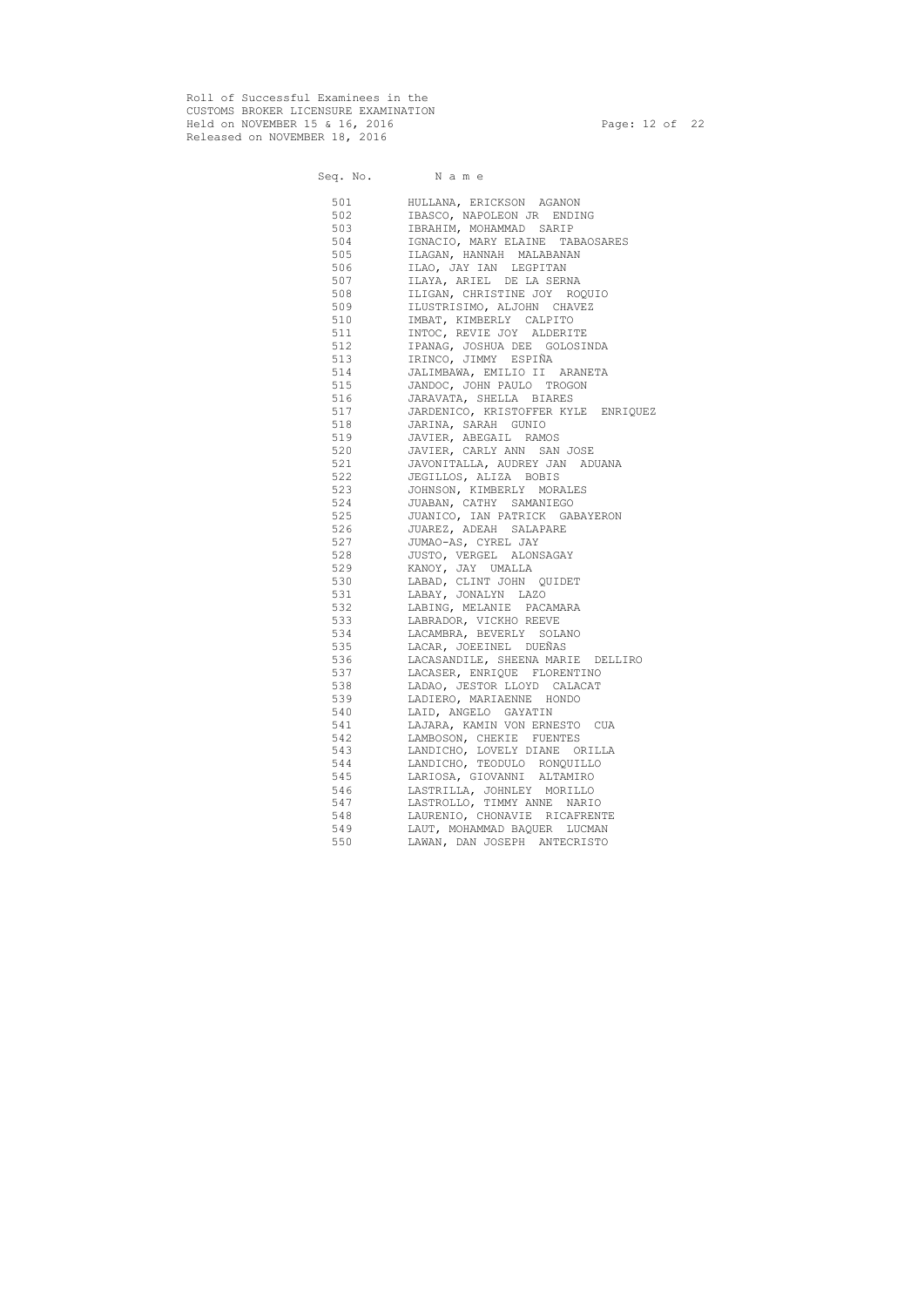Roll of Successful Examinees in the CUSTOMS BROKER LICENSURE EXAMINATION Held on NOVEMBER 15 & 16, 2016 Page: 12 of 22 Released on NOVEMBER 18, 2016

# Seq. No. Name 501 HULLANA, ERICKSON AGANON 502 IBASCO, NAPOLEON JR ENDING 503 IBRAHIM, MOHAMMAD SARIP 504 IGNACIO, MARY ELAINE TABAOSARES 505 ILAGAN, HANNAH MALABANAN 506 ILAO, JAY IAN LEGPITAN 507 ILAYA, ARIEL DE LA SERNA 508 ILIGAN, CHRISTINE JOY ROQUIO 509 ILUSTRISIMO, ALJOHN CHAVEZ 510 IMBAT, KIMBERLY CALPITO 511 INTOC, REVIE JOY ALDERITE 512 IPANAG, JOSHUA DEE GOLOSINDA 513 IRINCO, JIMMY ESPIÑA 514 JALIMBAWA, EMILIO II ARANETA 515 JANDOC, JOHN PAULO TROGON 516 JARAVATA, SHELLA BIARES 517 JARDENICO, KRISTOFFER KYLE ENRIQUEZ 518 JARINA, SARAH GUNIO 519 JAVIER, ABEGAIL RAMOS 520 JAVIER, CARLY ANN SAN JOSE 521 JAVONITALLA, AUDREY JAN ADUANA 522 JEGILLOS, ALIZA BOBIS 523 JOHNSON, KIMBERLY MORALES 524 JUABAN, CATHY SAMANIEGO 525 JUANICO, IAN PATRICK GABAYERON 526 JUAREZ, ADEAH SALAPARE 527 JUMAO-AS, CYREL JAY 528 JUSTO, VERGEL ALONSAGAY 529 KANOY, JAY UMALLA 530 LABAD, CLINT JOHN QUIDET 531 LABAY, JONALYN LAZO 532 LABING, MELANIE PACAMARA 533 LABRADOR, VICKHO REEVE 534 LACAMBRA, BEVERLY SOLANO 535 LACAR, JOEEINEL DUEÑAS 536 LACASANDILE, SHEENA MARIE DELLIRO 537 LACASER, ENRIQUE FLORENTINO 538 LADAO, JESTOR LLOYD CALACAT 539 LADIERO, MARIAENNE HONDO 540 LAID, ANGELO GAYATIN 541 LAJARA, KAMIN VON ERNESTO CUA 542 LAMBOSON, CHEKIE FUENTES 543 LANDICHO, LOVELY DIANE ORILLA 544 LANDICHO, TEODULO RONQUILLO 545 LARIOSA, GIOVANNI ALTAMIRO 546 LASTRILLA, JOHNLEY MORILLO 547 LASTROLLO, TIMMY ANNE NARIO 548 LAURENIO, CHONAVIE RICAFRENTE 549 LAUT, MOHAMMAD BAQUER LUCMAN 550 LAWAN, DAN JOSEPH ANTECRISTO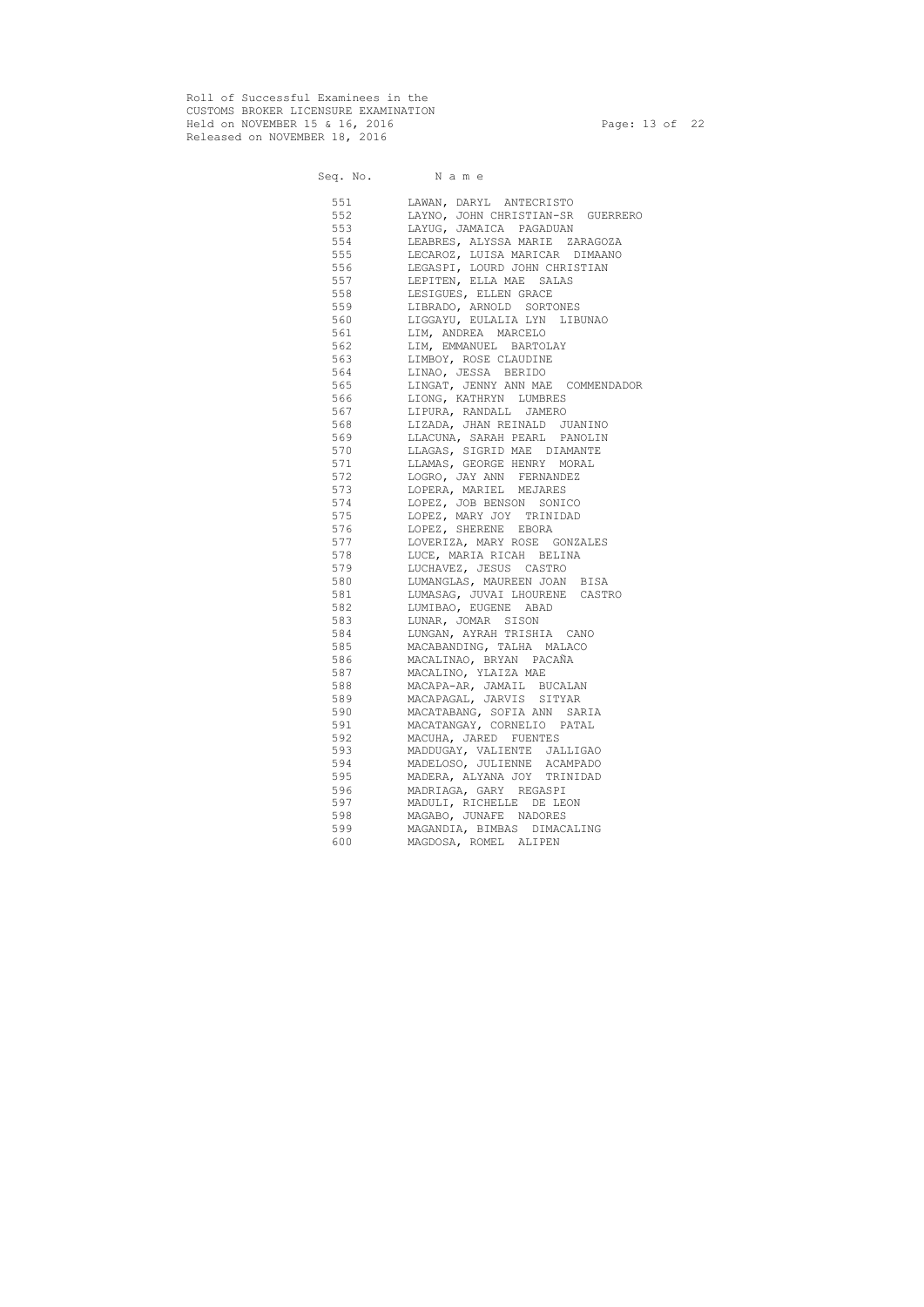Roll of Successful Examinees in the CUSTOMS BROKER LICENSURE EXAMINATION Held on NOVEMBER 15 & 16, 2016 Page: 13 of 22 Released on NOVEMBER 18, 2016

# Seq. No. Name 551 LAWAN, DARYL ANTECRISTO 552 LAYNO, JOHN CHRISTIAN-SR GUERRERO<br>553 LAYUG, JAMAICA PAGADUAN LAYUG, JAMAICA PAGADUAN 554 LEABRES, ALYSSA MARIE ZARAGOZA 555 LECAROZ, LUISA MARICAR DIMAANO 556 LEGASPI, LOURD JOHN CHRISTIAN 557 LEPITEN, ELLA MAE SALAS 558 LESIGUES, ELLEN GRACE 559 LIBRADO, ARNOLD SORTONES 560 LIGGAYU, EULALIA LYN LIBUNAO 561 LIM, ANDREA MARCELO 562 LIM, EMMANUEL BARTOLAY 563 LIMBOY, ROSE CLAUDINE 564 LINAO, JESSA BERIDO 565 LINGAT, JENNY ANN MAE COMMENDADOR 566 LIONG, KATHRYN LUMBRES 567 LIPURA, RANDALL JAMERO 568 LIZADA, JHAN REINALD JUANINO 569 LLACUNA, SARAH PEARL PANOLIN 570 LLAGAS, SIGRID MAE DIAMANTE 571 LLAMAS, GEORGE HENRY MORAL 572 LOGRO, JAY ANN FERNANDEZ 573 LOPERA, MARIEL MEJARES 574 LOPEZ, JOB BENSON SONICO 575 LOPEZ, MARY JOY TRINIDAD 576 LOPEZ, SHERENE EBORA 577 LOVERIZA, MARY ROSE GONZALES 578 LUCE, MARIA RICAH BELINA 579 LUCHAVEZ, JESUS CASTRO 580 LUMANGLAS, MAUREEN JOAN BISA 581 LUMASAG, JUVAI LHOURENE CASTRO 582 LUMIBAO, EUGENE ABAD 583 LUNAR, JOMAR SISON 584 LUNGAN, AYRAH TRISHIA CANO 585 MACABANDING, TALHA MALACO 586 MACALINAO, BRYAN PACAÑA 587 MACALINO, YLAIZA MAE 588 MACAPA-AR, JAMAIL BUCALAN 589 MACAPAGAL, JARVIS SITYAR 590 MACATABANG, SOFIA ANN SARIA 591 MACATANGAY, CORNELIO PATAL 592 MACUHA, JARED FUENTES 593 MADDUGAY, VALIENTE JALLIGAO 594 MADELOSO, JULIENNE ACAMPADO 595 MADERA, ALYANA JOY TRINIDAD 596 MADRIAGA, GARY REGASPI 597 MADULI, RICHELLE DE LEON 598 MAGABO, JUNAFE NADORES 599 MAGANDIA, BIMBAS DIMACALING 600 MAGDOSA, ROMEL ALIPEN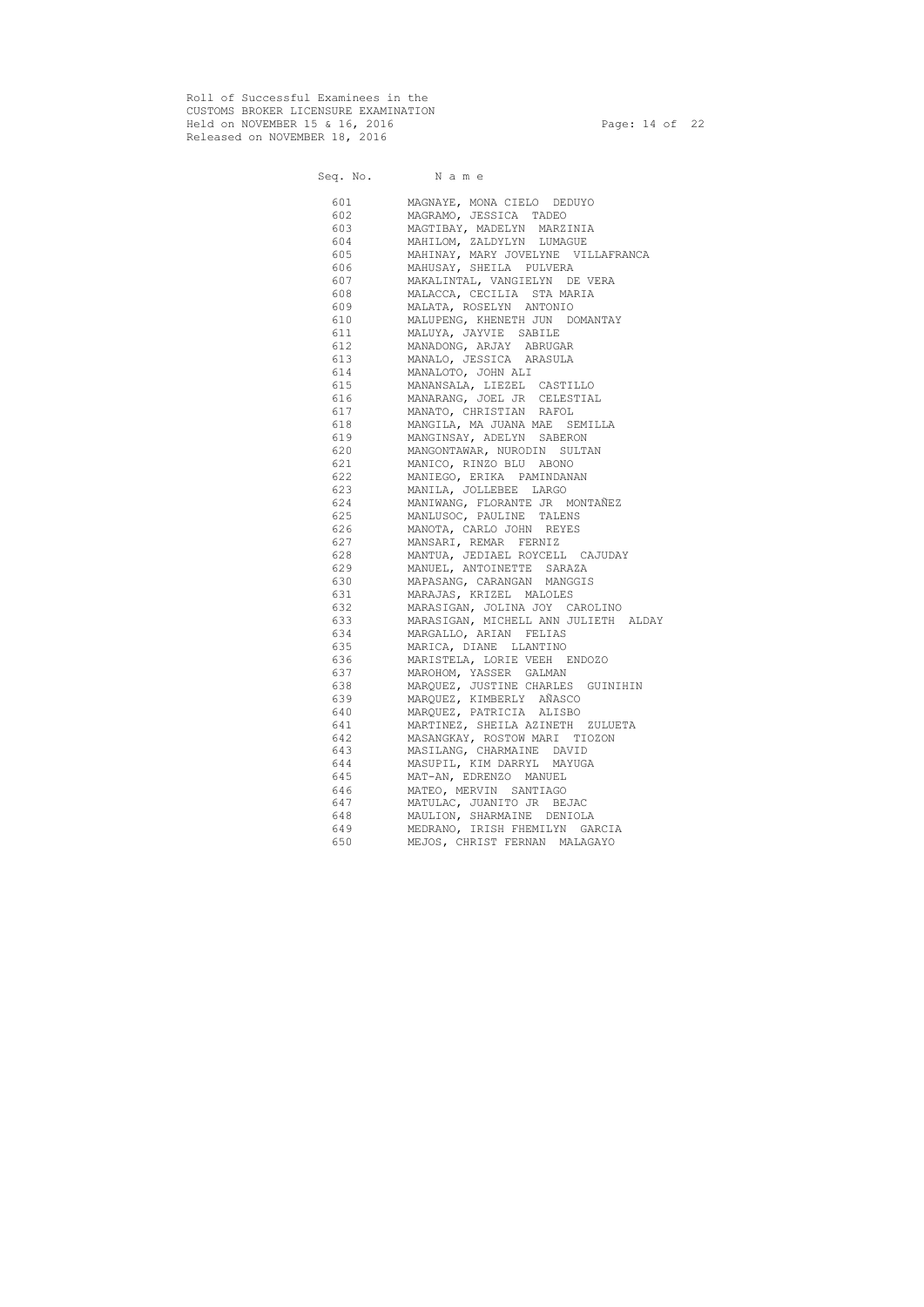Roll of Successful Examinees in the CUSTOMS BROKER LICENSURE EXAMINATION Held on NOVEMBER 15 & 16, 2016 Page: 14 of 22 Released on NOVEMBER 18, 2016

|           | Seq. No. Name                        |
|-----------|--------------------------------------|
| 601 — 100 | MAGNAYE, MONA CIELO DEDUYO           |
| 602       | MAGRAMO, JESSICA TADEO               |
| 603       | MAGTIBAY, MADELYN MARZINIA           |
| 604       | MAHILOM, ZALDYLYN LUMAGUE            |
| 605       | MAHINAY, MARY JOVELYNE VILLAFRANCA   |
| 606       | MAHUSAY, SHEILA PULVERA              |
| 607       | MAKALINTAL, VANGIELYN DE VERA        |
| 608       | MALACCA, CECILIA STA MARIA           |
| 609       | MALATA, ROSELYN ANTONIO              |
| 610       | MALUPENG, KHENETH JUN DOMANTAY       |
| 611       | MALUYA, JAYVIE SABILE                |
| 612       | MANADONG, ARJAY ABRUGAR              |
| 613       | MANALO, JESSICA ARASULA              |
| 614       | MANALOTO, JOHN ALI                   |
| 615       | MANANSALA, LIEZEL CASTILLO           |
| 616       | MANARANG, JOEL JR CELESTIAL          |
| 617       | MANATO, CHRISTIAN RAFOL              |
| 618       | MANGILA, MA JUANA MAE SEMILLA        |
| 619       | MANGINSAY, ADELYN SABERON            |
| 620       | MANGONTAWAR, NURODIN SULTAN          |
| 621       | MANICO, RINZO BLU ABONO              |
| 622       | MANIEGO, ERIKA PAMINDANAN            |
| 623       | MANILA, JOLLEBEE LARGO               |
| 624       | MANIWANG, FLORANTE JR MONTAÑEZ       |
| 625       | MANLUSOC, PAULINE TALENS             |
| 626       | MANOTA, CARLO JOHN REYES             |
| 627       | MANSARI, REMAR FERNIZ                |
| 628       | MANTUA, JEDIAEL ROYCELL CAJUDAY      |
| 629       | MANUEL, ANTOINETTE SARAZA            |
| 630       | MAPASANG, CARANGAN MANGGIS           |
| 631       | MARAJAS, KRIZEL MALOLES              |
| 632       | MARASIGAN, JOLINA JOY CAROLINO       |
| 633       | MARASIGAN, MICHELL ANN JULIETH ALDAY |
| 634       | MARGALLO, ARIAN FELIAS               |
| 635 —     | MARICA, DIANE LLANTINO               |
| 636       | MARISTELA, LORIE VEEH ENDOZO         |
| 637       | MAROHOM, YASSER GALMAN               |
| 638       | MARQUEZ, JUSTINE CHARLES GUINIHIN    |
| 639       | MARQUEZ, KIMBERLY AÑASCO             |
| 640       | MARQUEZ, PATRICIA ALISBO             |
| 641       | MARTINEZ, SHEILA AZINETH ZULUETA     |
| 642       | MASANGKAY, ROSTOW MARI TIOZON        |
| 643       | MASILANG, CHARMAINE DAVID            |
| 644       | MASUPIL, KIM DARRYL MAYUGA           |
| 645       | MAT-AN, EDRENZO MANUEL               |
| 646       | MATEO, MERVIN SANTIAGO               |
| 647       | MATULAC, JUANITO JR BEJAC            |
| 648       | MAULION, SHARMAINE DENIOLA           |
| 649       | MEDRANO, IRISH FHEMILYN GARCIA       |
| 650       | MEJOS, CHRIST FERNAN MALAGAYO        |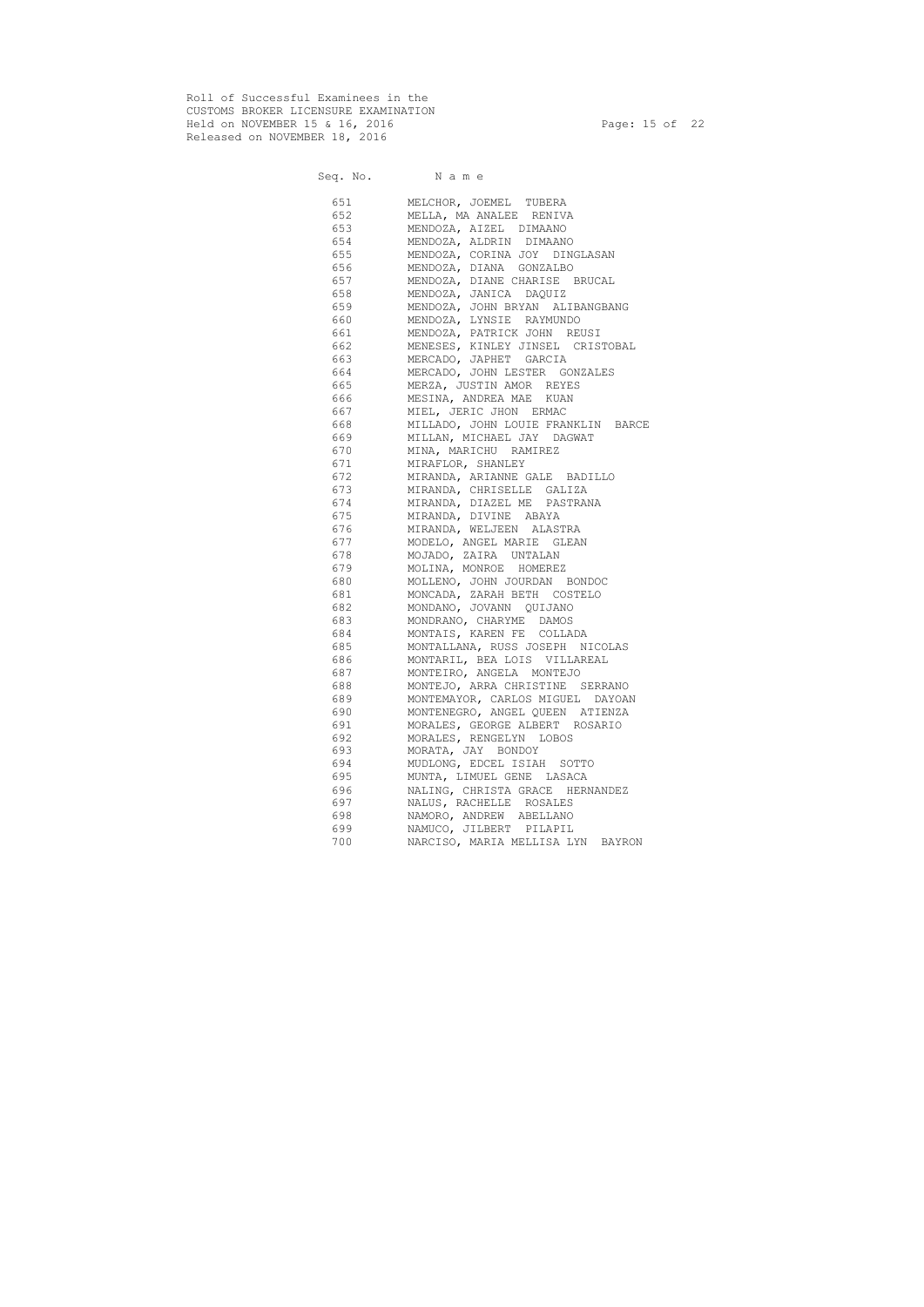Roll of Successful Examinees in the CUSTOMS BROKER LICENSURE EXAMINATION Held on NOVEMBER 15 & 16, 2016 Page: 15 of 22 Released on NOVEMBER 18, 2016

|     | Seq. No. Name                      |
|-----|------------------------------------|
|     | 651 MELCHOR, JOEMEL TUBERA         |
| 652 | MELLA, MA ANALEE RENIVA            |
| 653 | MENDOZA, AIZEL DIMAANO             |
| 654 | MENDOZA, ALDRIN DIMAANO            |
| 655 | MENDOZA, CORINA JOY DINGLASAN      |
| 656 | MENDOZA, DIANA GONZALBO            |
| 657 | MENDOZA, DIANE CHARISE BRUCAL      |
| 658 | MENDOZA, JANICA DAQUIZ             |
| 659 | MENDOZA, JOHN BRYAN ALIBANGBANG    |
| 660 | MENDOZA, LYNSIE RAYMUNDO           |
| 661 | MENDOZA, PATRICK JOHN REUSI        |
| 662 | MENESES, KINLEY JINSEL CRISTOBAL   |
| 663 | MERCADO, JAPHET GARCIA             |
| 664 | MERCADO, JOHN LESTER GONZALES      |
| 665 | MERZA, JUSTIN AMOR REYES           |
| 666 | MESINA, ANDREA MAE KUAN            |
| 667 | MIEL, JERIC JHON ERMAC             |
| 668 | MILLADO, JOHN LOUIE FRANKLIN BARCE |
| 669 | MILLAN, MICHAEL JAY DAGWAT         |
| 670 | MINA, MARICHU RAMIREZ              |
| 671 | MIRAFLOR, SHANLEY                  |
| 672 | MIRANDA, ARIANNE GALE BADILLO      |
| 673 | MIRANDA, CHRISELLE GALIZA          |
| 674 | MIRANDA, DIAZEL ME PASTRANA        |
| 675 | MIRANDA, DIVINE ABAYA              |
| 676 | MIRANDA, WELJEEN ALASTRA           |
| 677 | MODELO, ANGEL MARIE GLEAN          |
| 678 | MOJADO, ZAIRA UNTALAN              |
| 679 | MOLINA, MONROE HOMEREZ             |
| 680 | MOLLENO, JOHN JOURDAN BONDOC       |
| 681 | MONCADA, ZARAH BETH COSTELO        |
| 682 | MONDANO, JOVANN QUIJANO            |
| 683 | MONDRANO, CHARYME DAMOS            |
| 684 | MONTAIS, KAREN FE COLLADA          |
| 685 | MONTALLANA, RUSS JOSEPH NICOLAS    |
| 686 | MONTARIL, BEA LOIS VILLAREAL       |
| 687 | MONTEIRO, ANGELA MONTEJO           |
| 688 | MONTEJO, ARRA CHRISTINE SERRANO    |
| 689 | MONTEMAYOR, CARLOS MIGUEL DAYOAN   |
| 690 | MONTENEGRO, ANGEL QUEEN ATIENZA    |
| 691 | MORALES, GEORGE ALBERT ROSARIO     |
| 692 | MORALES, RENGELYN LOBOS            |
| 693 | MORATA, JAY BONDOY                 |
| 694 | MUDLONG, EDCEL ISIAH SOTTO         |
| 695 | MUNTA, LIMUEL GENE LASACA          |
| 696 | NALING, CHRISTA GRACE HERNANDEZ    |
| 697 | NALUS, RACHELLE ROSALES            |
| 698 | NAMORO, ANDREW ABELLANO            |
| 699 | NAMUCO, JILBERT PILAPIL            |
| 700 | NARCISO, MARIA MELLISA LYN BAYRON  |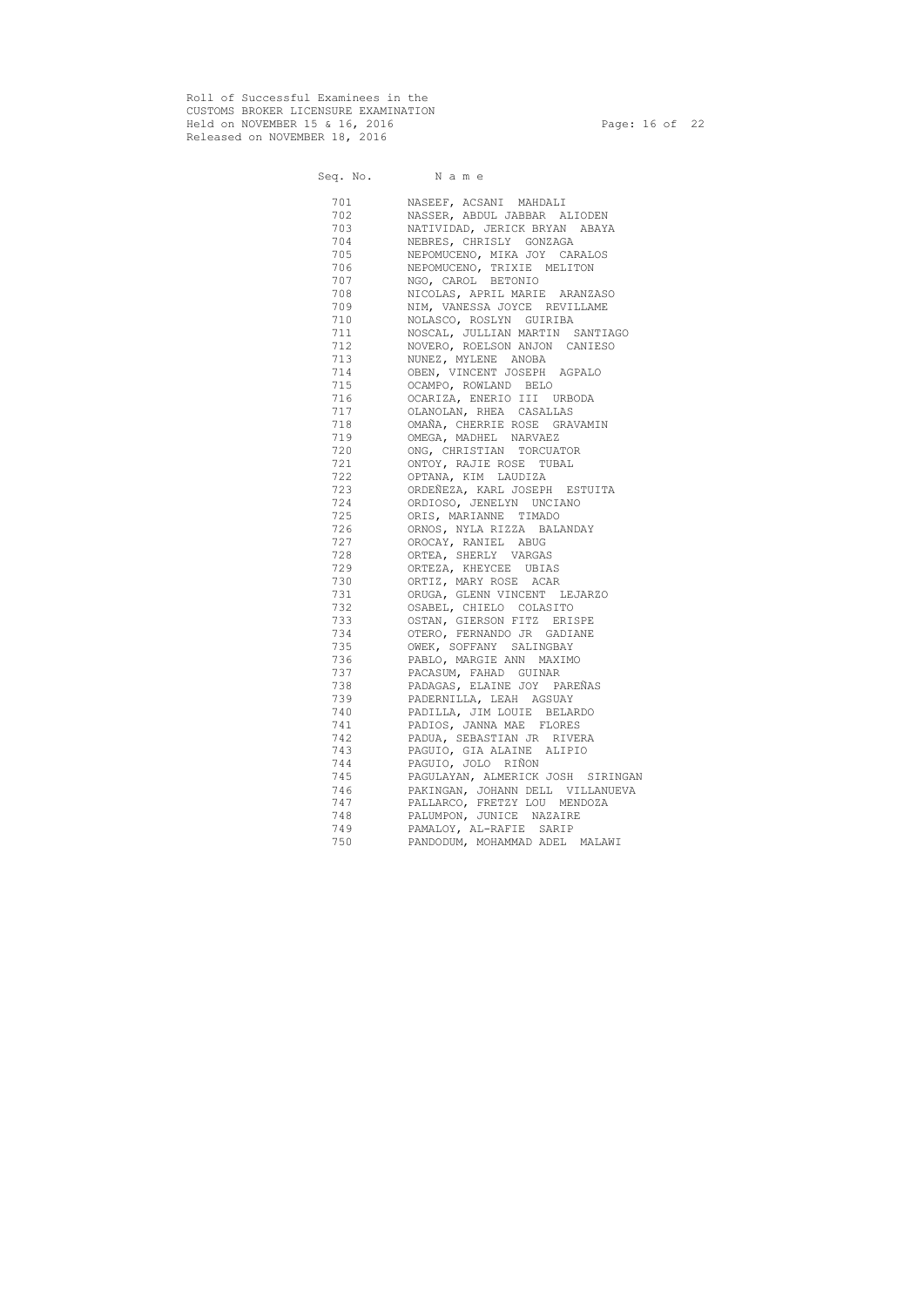Roll of Successful Examinees in the CUSTOMS BROKER LICENSURE EXAMINATION Held on NOVEMBER 15 & 16, 2016 Page: 16 of 22 Released on NOVEMBER 18, 2016

|                                                                                                                                                                                                                                | Seq. No. Name                     |
|--------------------------------------------------------------------------------------------------------------------------------------------------------------------------------------------------------------------------------|-----------------------------------|
| 701                                                                                                                                                                                                                            | NASEEF, ACSANI MAHDALI            |
| 702 — 2022 — 2022 — 2022 — 2022 — 2022 — 2022 — 2022 — 2022 — 2022 — 2022 — 2022 — 2022 — 2022 — 2023 — 2023 — 2023 — 2023 — 2023 — 2023 — 2023 — 2023 — 2023 — 2023 — 2023 — 2023 — 2023 — 2023 — 2023 — 2023 — 2023 — 2023 — | NASSER, ABDUL JABBAR ALIODEN      |
| 703                                                                                                                                                                                                                            | NATIVIDAD, JERICK BRYAN ABAYA     |
| 704                                                                                                                                                                                                                            | NEBRES, CHRISLY GONZAGA           |
| 705                                                                                                                                                                                                                            | NEPOMUCENO, MIKA JOY CARALOS      |
| 706 700                                                                                                                                                                                                                        | NEPOMUCENO, TRIXIE MELITON        |
| 707                                                                                                                                                                                                                            | NGO, CAROL BETONIO                |
| 708                                                                                                                                                                                                                            | NICOLAS, APRIL MARIE ARANZASO     |
| 709 — 10                                                                                                                                                                                                                       | NIM, VANESSA JOYCE REVILLAME      |
| 710                                                                                                                                                                                                                            | NOLASCO, ROSLYN GUIRIBA           |
| 711                                                                                                                                                                                                                            | NOSCAL, JULLIAN MARTIN SANTIAGO   |
| 712                                                                                                                                                                                                                            | NOVERO, ROELSON ANJON CANIESO     |
| 713                                                                                                                                                                                                                            | NUNEZ, MYLENE ANOBA               |
| 714                                                                                                                                                                                                                            | OBEN, VINCENT JOSEPH AGPALO       |
| 715                                                                                                                                                                                                                            | OCAMPO, ROWLAND BELO              |
| 716                                                                                                                                                                                                                            | OCARIZA, ENERIO III URBODA        |
| 717                                                                                                                                                                                                                            | OLANOLAN, RHEA CASALLAS           |
| 718                                                                                                                                                                                                                            | OMAÑA, CHERRIE ROSE GRAVAMIN      |
| 719                                                                                                                                                                                                                            | OMEGA, MADHEL NARVAEZ             |
| 720                                                                                                                                                                                                                            | ONG, CHRISTIAN TORCUATOR          |
| 721                                                                                                                                                                                                                            | ONTOY, RAJIE ROSE TUBAL           |
| 722                                                                                                                                                                                                                            | OPTANA, KIM LAUDIZA               |
| 723                                                                                                                                                                                                                            | ORDEÑEZA, KARL JOSEPH ESTUITA     |
| 724                                                                                                                                                                                                                            | ORDIOSO, JENELYN UNCIANO          |
| 725                                                                                                                                                                                                                            | ORIS, MARIANNE TIMADO             |
| 726                                                                                                                                                                                                                            | ORNOS, NYLA RIZZA BALANDAY        |
| 727                                                                                                                                                                                                                            | OROCAY, RANIEL ABUG               |
| 728                                                                                                                                                                                                                            | ORTEA, SHERLY VARGAS              |
| 729                                                                                                                                                                                                                            | ORTEZA, KHEYCEE UBIAS             |
| 730                                                                                                                                                                                                                            | ORTIZ, MARY ROSE ACAR             |
| 731                                                                                                                                                                                                                            | ORUGA, GLENN VINCENT LEJARZO      |
| 732                                                                                                                                                                                                                            | OSABEL, CHIELO COLASITO           |
| 733                                                                                                                                                                                                                            | OSTAN, GIERSON FITZ ERISPE        |
| 734                                                                                                                                                                                                                            | OTERO, FERNANDO JR GADIANE        |
| 735                                                                                                                                                                                                                            | OWEK, SOFFANY SALINGBAY           |
| 736                                                                                                                                                                                                                            | PABLO, MARGIE ANN MAXIMO          |
| 737                                                                                                                                                                                                                            | PACASUM, FAHAD GUINAR             |
| 738                                                                                                                                                                                                                            | PADAGAS, ELAINE JOY PAREÑAS       |
| 739                                                                                                                                                                                                                            | PADERNILLA, LEAH AGSUAY           |
| 740                                                                                                                                                                                                                            | PADILLA, JIM LOUIE BELARDO        |
| 741                                                                                                                                                                                                                            | PADIOS, JANNA MAE FLORES          |
| 742                                                                                                                                                                                                                            | PADUA, SEBASTIAN JR RIVERA        |
| 743                                                                                                                                                                                                                            | PAGUIO, GIA ALAINE ALIPIO         |
| 744                                                                                                                                                                                                                            | PAGUIO, JOLO RIÑON                |
| 745                                                                                                                                                                                                                            | PAGULAYAN, ALMERICK JOSH SIRINGAN |
| 746                                                                                                                                                                                                                            | PAKINGAN, JOHANN DELL VILLANUEVA  |
| 747                                                                                                                                                                                                                            | PALLARCO, FRETZY LOU MENDOZA      |
| 748                                                                                                                                                                                                                            | PALUMPON, JUNICE NAZAIRE          |
| 749                                                                                                                                                                                                                            | PAMALOY, AL-RAFIE SARIP           |
| 750                                                                                                                                                                                                                            | PANDODUM, MOHAMMAD ADEL MALAWI    |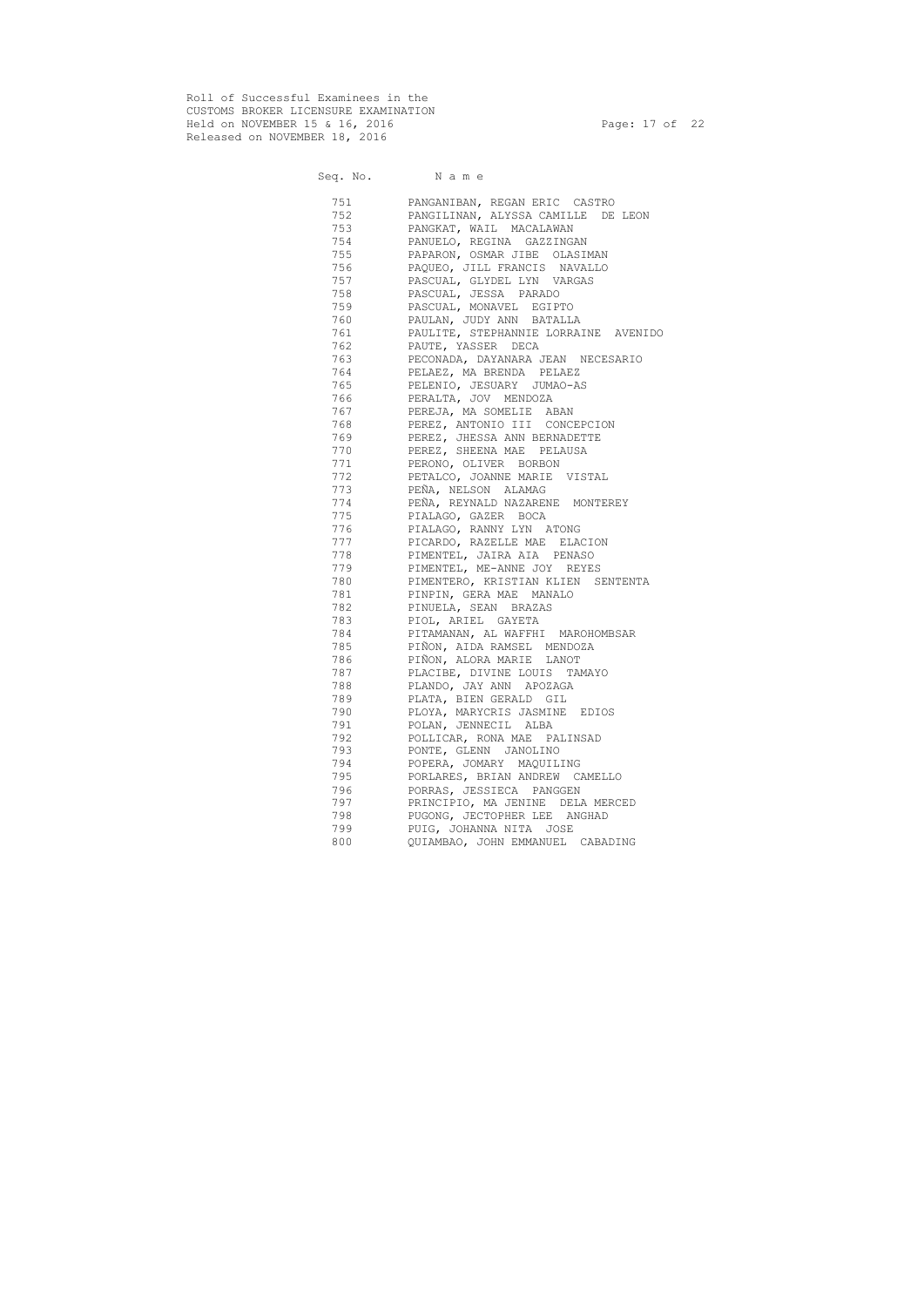Roll of Successful Examinees in the CUSTOMS BROKER LICENSURE EXAMINATION Held on NOVEMBER 15 & 16, 2016 Page: 17 of 22 Released on NOVEMBER 18, 2016

# Seq. No. Name 751 PANGANIBAN, REGAN ERIC CASTRO 752 PANGILINAN, ALYSSA CAMILLE DE LEON 753 PANGKAT, WAIL MACALAWAN 754 PANUELO, REGINA GAZZINGAN 755 PAPARON, OSMAR JIBE OLASIMAN 756 PAQUEO, JILL FRANCIS NAVALLO 757 PASCUAL, GLYDEL LYN VARGAS 758 PASCUAL, JESSA PARADO 759 PASCUAL, MONAVEL EGIPTO 760 PAULAN, JUDY ANN BATALLA 761 PAULITE, STEPHANNIE LORRAINE AVENIDO 762 PAUTE, YASSER DECA 763 PECONADA, DAYANARA JEAN NECESARIO 764 PELAEZ, MA BRENDA PELAEZ 765 PELENIO, JESUARY JUMAO-AS 766 PERALTA, JOV MENDOZA 767 PEREJA, MA SOMELIE ABAN 768 PEREZ, ANTONIO III CONCEPCION 769 PEREZ, JHESSA ANN BERNADETTE 770 PEREZ, SHEENA MAE PELAUSA 771 PERONO, OLIVER BORBON 772 PETALCO, JOANNE MARIE VISTAL 773 PEÑA, NELSON ALAMAG 774 PEÑA, REYNALD NAZARENE MONTEREY 775 PIALAGO, GAZER BOCA 776 PIALAGO, RANNY LYN ATONG 777 PICARDO, RAZELLE MAE ELACION 778 PIMENTEL, JAIRA AIA PENASO 779 PIMENTEL, ME-ANNE JOY REYES 780 PIMENTERO, KRISTIAN KLIEN SENTENTA 781 PINPIN, GERA MAE MANALO 782 PINUELA, SEAN BRAZAS 783 PIOL, ARIEL GAYETA 784 PITAMANAN, AL WAFFHI MAROHOMBSAR 785 PIÑON, AIDA RAMSEL MENDOZA 786 PIÑON, ALORA MARIE LANOT 787 PLACIBE, DIVINE LOUIS TAMAYO 788 PLANDO, JAY ANN APOZAGA 789 PLATA, BIEN GERALD GIL 790 PLOYA, MARYCRIS JASMINE EDIOS 791 POLAN, JENNECIL ALBA 792 POLLICAR, RONA MAE PALINSAD 793 PONTE, GLENN JANOLINO 794 POPERA, JOMARY MAQUILING 795 PORLARES, BRIAN ANDREW CAMELLO 796 PORRAS, JESSIECA PANGGEN 797 PRINCIPIO, MA JENINE DELA MERCED 798 PUGONG, JECTOPHER LEE ANGHAD 799 PUIG, JOHANNA NITA JOSE 800 QUIAMBAO, JOHN EMMANUEL CABADING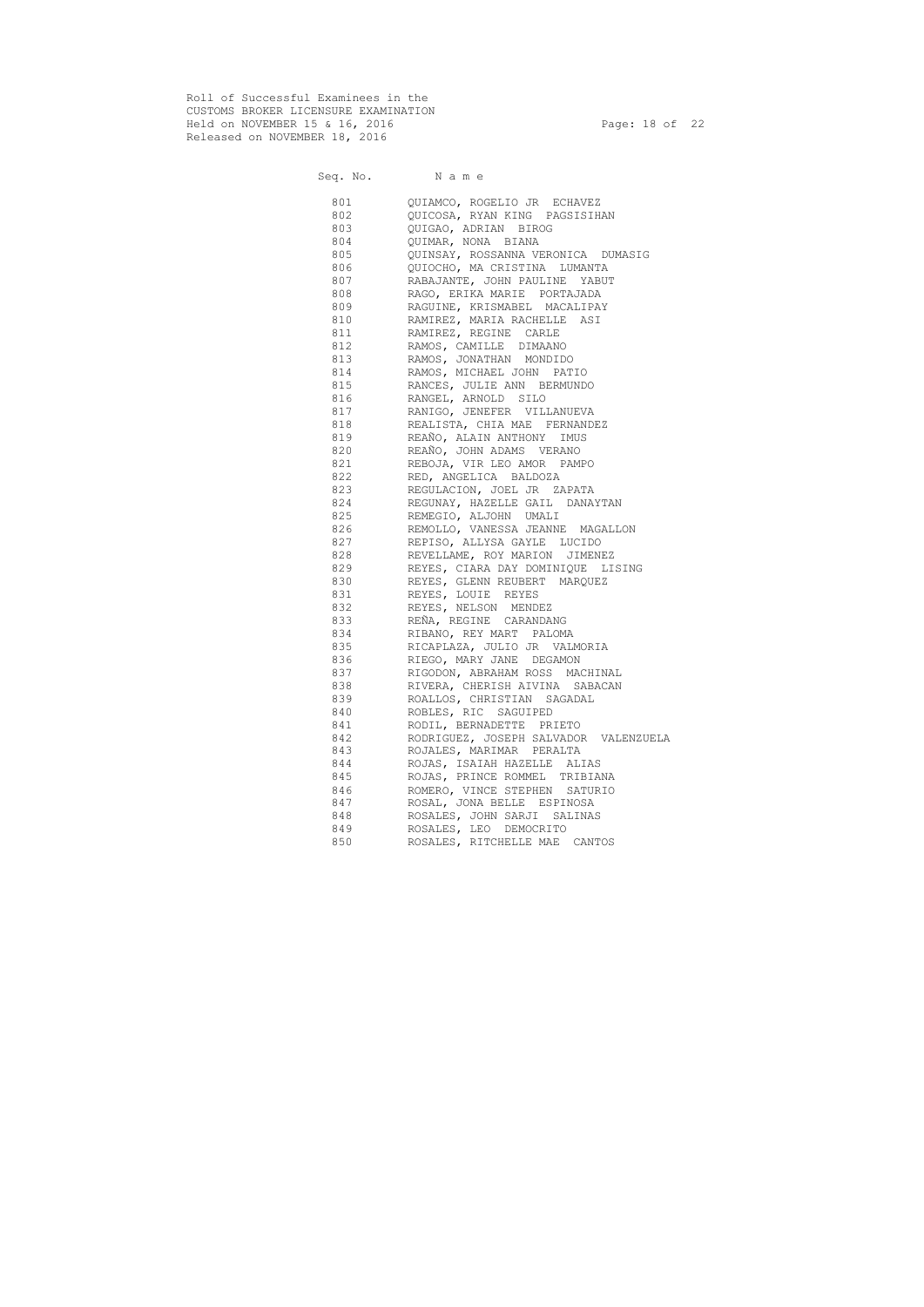Roll of Successful Examinees in the CUSTOMS BROKER LICENSURE EXAMINATION Held on NOVEMBER 15 & 16, 2016 Page: 18 of 22 Released on NOVEMBER 18, 2016

# Seq. No. Name 801 QUIAMCO, ROGELIO JR ECHAVEZ 802 QUICOSA, RYAN KING PAGSISIHAN 803 QUIGAO, ADRIAN BIROG 804 QUIMAR, NONA BIANA 805 QUINSAY, ROSSANNA VERONICA DUMASIG 806 QUIOCHO, MA CRISTINA LUMANTA 807 RABAJANTE, JOHN PAULINE YABUT 808 RAGO, ERIKA MARIE PORTAJADA 809 RAGUINE, KRISMABEL MACALIPAY 810 RAMIREZ, MARIA RACHELLE ASI 811 RAMIREZ, REGINE CARLE 812 RAMOS, CAMILLE DIMAANO 813 RAMOS, JONATHAN MONDIDO 814 RAMOS, MICHAEL JOHN PATIO 815 RANCES, JULIE ANN BERMUNDO 816 RANGEL, ARNOLD SILO 817 RANIGO, JENEFER VILLANUEVA 818 REALISTA, CHIA MAE FERNANDEZ 819 REAÑO, ALAIN ANTHONY IMUS 820 REAÑO, JOHN ADAMS VERANO 821 REBOJA, VIR LEO AMOR PAMPO 822 RED, ANGELICA BALDOZA 823 REGULACION, JOEL JR ZAPATA 824 REGUNAY, HAZELLE GAIL DANAYTAN 825 REMEGIO, ALJOHN UMALI 826 REMOLLO, VANESSA JEANNE MAGALLON 827 REPISO, ALLYSA GAYLE LUCIDO 828 REVELLAME, ROY MARION JIMENEZ 829 REYES, CIARA DAY DOMINIQUE LISING 830 REYES, GLENN REUBERT MARQUEZ 831 REYES, LOUIE REYES 832 REYES, NELSON MENDEZ 833 REÑA, REGINE CARANDANG 834 RIBANO, REY MART PALOMA 835 RICAPLAZA, JULIO JR VALMORIA 836 RIEGO, MARY JANE DEGAMON 837 RIGODON, ABRAHAM ROSS MACHINAL 838 RIVERA, CHERISH AIVINA SABACAN 839 ROALLOS, CHRISTIAN SAGADAL 840 ROBLES, RIC SAGUIPED 841 RODIL, BERNADETTE PRIETO 842 RODRIGUEZ, JOSEPH SALVADOR VALENZUELA 843 ROJALES, MARIMAR PERALTA 844 ROJAS, ISAIAH HAZELLE ALIAS 845 ROJAS, PRINCE ROMMEL TRIBIANA 846 ROMERO, VINCE STEPHEN SATURIO 847 ROSAL, JONA BELLE ESPINOSA 848 ROSALES, JOHN SARJI SALINAS 849 ROSALES, LEO DEMOCRITO 850 ROSALES, RITCHELLE MAE CANTOS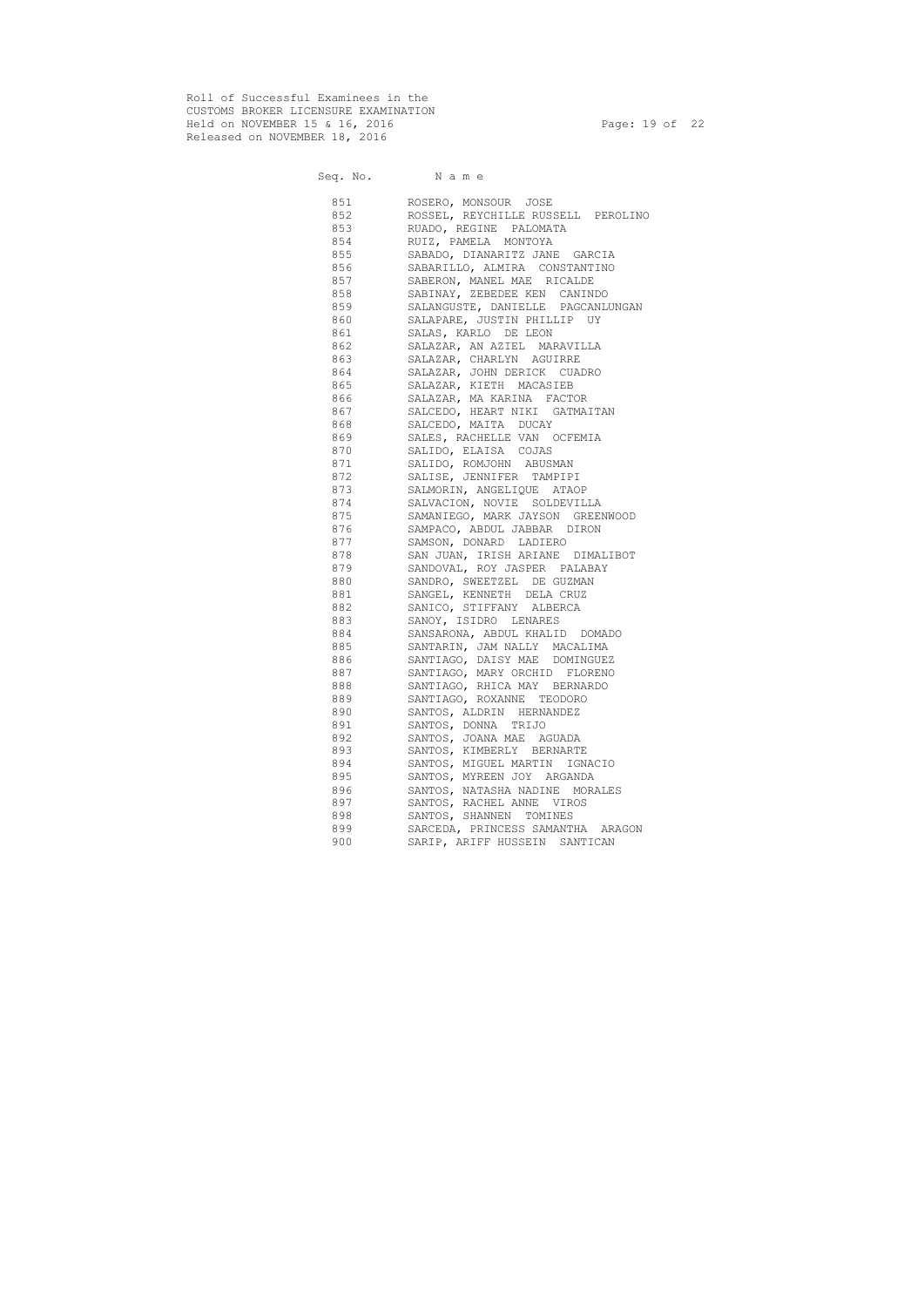Roll of Successful Examinees in the CUSTOMS BROKER LICENSURE EXAMINATION Held on NOVEMBER 15 & 16, 2016 Page: 19 of 22 Released on NOVEMBER 18, 2016

Seq. No. Name 851 ROSERO, MONSOUR JOSE 852 ROSSEL, REYCHILLE RUSSELL PEROLINO 853 RUADO, REGINE PALOMATA 854 RUIZ, PAMELA MONTOYA 855 SABADO, DIANARITZ JANE GARCIA 856 SABARILLO, ALMIRA CONSTANTINO 857 SABERON, MANEL MAE RICALDE 858 SABINAY, ZEBEDEE KEN CANINDO 859 SALANGUSTE, DANIELLE PAGCANLUNGAN 860 SALAPARE, JUSTIN PHILLIP UY 861 SALAS, KARLO DE LEON 862 SALAZAR, AN AZIEL MARAVILLA 863 SALAZAR, CHARLYN AGUIRRE 864 SALAZAR, JOHN DERICK CUADRO 865 SALAZAR, KIETH MACASIEB 866 SALAZAR, MA KARINA FACTOR 867 SALCEDO, HEART NIKI GATMAITAN 868 SALCEDO, MAITA DUCAY 869 SALES, RACHELLE VAN OCFEMIA 870 SALIDO, ELAISA COJAS 871 SALIDO, ROMJOHN ABUSMAN 872 SALISE, JENNIFER TAMPIPI 873 SALMORIN, ANGELIQUE ATAOP 874 SALVACION, NOVIE SOLDEVILLA 875 SAMANIEGO, MARK JAYSON GREENWOOD 876 SAMPACO, ABDUL JABBAR DIRON 877 SAMSON, DONARD LADIERO 878 SAN JUAN, IRISH ARIANE DIMALIBOT 879 SANDOVAL, ROY JASPER PALABAY 880 SANDRO, SWEETZEL DE GUZMAN 881 SANGEL, KENNETH DELA CRUZ 882 SANICO, STIFFANY ALBERCA 883 SANOY, ISIDRO LENARES 884 SANSARONA, ABDUL KHALID DOMADO 885 SANTARIN, JAM NALLY MACALIMA 886 SANTIAGO, DAISY MAE DOMINGUEZ 887 SANTIAGO, MARY ORCHID FLORENO 888 SANTIAGO, RHICA MAY BERNARDO 889 SANTIAGO, ROXANNE TEODORO 890 SANTOS, ALDRIN HERNANDEZ 891 SANTOS, DONNA TRIJO 892 SANTOS, JOANA MAE AGUADA 893 SANTOS, KIMBERLY BERNARTE 894 SANTOS, MIGUEL MARTIN IGNACIO 895 SANTOS, MYREEN JOY ARGANDA 896 SANTOS, NATASHA NADINE MORALES 897 SANTOS, RACHEL ANNE VIROS 898 SANTOS, SHANNEN TOMINES 899 SARCEDA, PRINCESS SAMANTHA ARAGON 900 SARIP, ARIFF HUSSEIN SANTICAN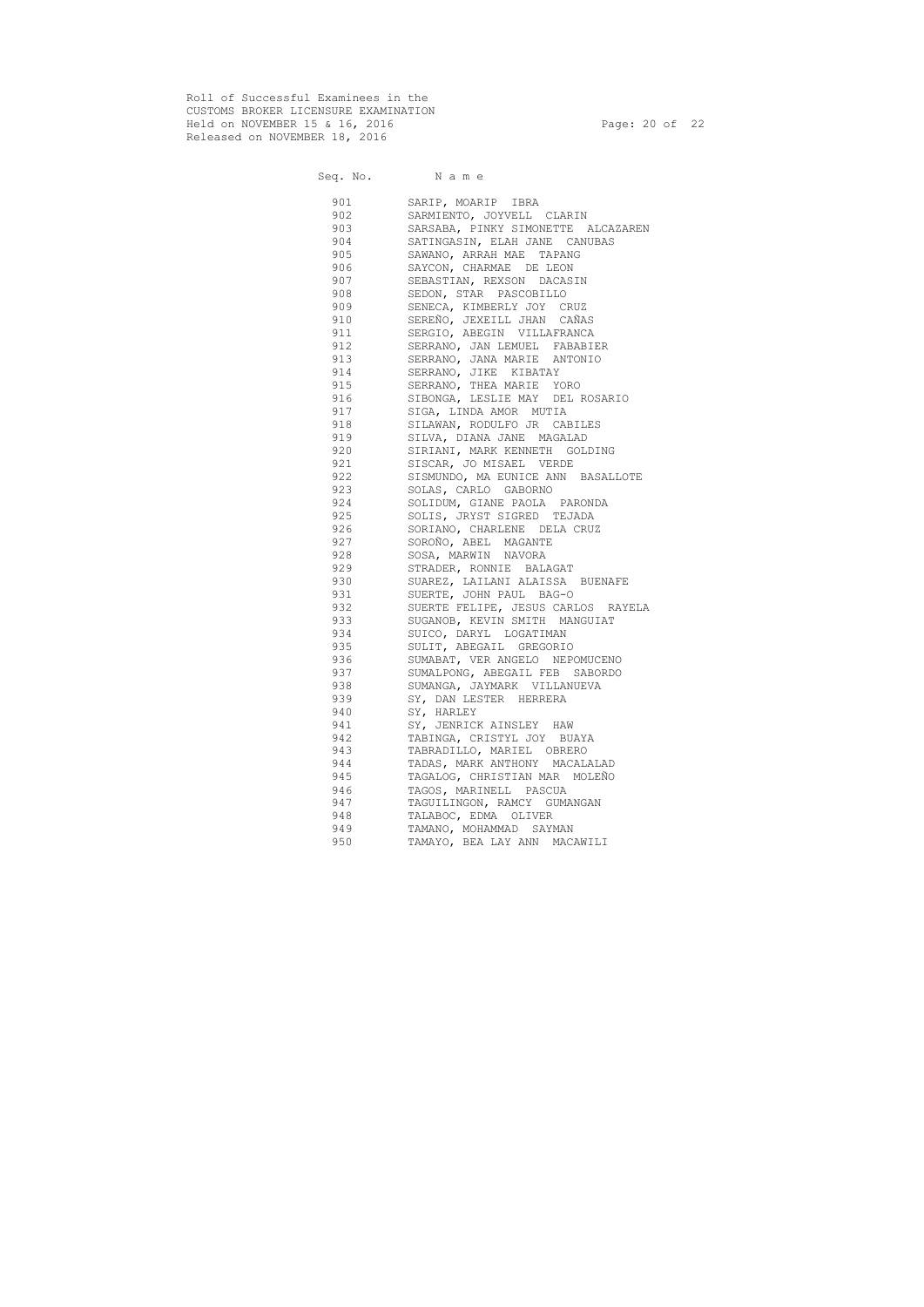Roll of Successful Examinees in the CUSTOMS BROKER LICENSURE EXAMINATION Held on NOVEMBER 15 & 16, 2016 Page: 20 of 22 Released on NOVEMBER 18, 2016

|           | Seq. No. Name                      |
|-----------|------------------------------------|
| 901       | SARIP, MOARIP IBRA                 |
| 902       | SARMIENTO, JOYVELL CLARIN          |
| 903       | SARSABA, PINKY SIMONETTE ALCAZAREN |
| 904       | SATINGASIN, ELAH JANE CANUBAS      |
| 905       | SAWANO, ARRAH MAE TAPANG           |
| 906       | SAYCON, CHARMAE DE LEON            |
| 907       | SEBASTIAN, REXSON DACASIN          |
| 908       | SEDON, STAR PASCOBILLO             |
| 909       | SENECA, KIMBERLY JOY CRUZ          |
| 910       | SEREÑO, JEXEILL JHAN CAÑAS         |
| 911       | SERGIO, ABEGIN VILLAFRANCA         |
| 912       | SERRANO, JAN LEMUEL FABABIER       |
| 913       | SERRANO, JANA MARIE ANTONIO        |
| 914       | SERRANO, JIKE KIBATAY              |
| 915       | SERRANO, THEA MARIE YORO           |
| 916       | SIBONGA, LESLIE MAY DEL ROSARIO    |
| 917       | SIGA, LINDA AMOR MUTIA             |
| 918       | SILAWAN, RODULFO JR CABILES        |
| 919       | SILVA, DIANA JANE MAGALAD          |
| 920       | SIRIANI, MARK KENNETH GOLDING      |
| 921       | SISCAR, JO MISAEL VERDE            |
| 922       | SISMUNDO, MA EUNICE ANN BASALLOTE  |
| 923       | SOLAS, CARLO GABORNO               |
| 924       | SOLIDUM, GIANE PAOLA PARONDA       |
| 925       | SOLIS, JRYST SIGRED TEJADA         |
| 926       | SORIANO, CHARLENE DELA CRUZ        |
| 927       | SOROÑO, ABEL MAGANTE               |
| 928       | SOSA, MARWIN NAVORA                |
| 929       | STRADER, RONNIE BALAGAT            |
| 930 — 10  | SUAREZ, LAILANI ALAISSA BUENAFE    |
| 931 — 100 | SUERTE, JOHN PAUL BAG-O            |
| 932       | SUERTE FELIPE, JESUS CARLOS RAYELA |
| 933 — 100 | SUGANOB, KEVIN SMITH MANGUIAT      |
| 934       | SUICO, DARYL LOGATIMAN             |
| 935       | SULIT, ABEGAIL GREGORIO            |
| 936       | SUMABAT, VER ANGELO NEPOMUCENO     |
| 937       | SUMALPONG, ABEGAIL FEB SABORDO     |
| 938       | SUMANGA, JAYMARK VILLANUEVA        |
| 939       | SY, DAN LESTER HERRERA             |
| 940       | SY, HARLEY                         |
| 941       | SY, JENRICK AINSLEY HAW            |
| 942       | TABINGA, CRISTYL JOY BUAYA         |
| 943       | TABRADILLO, MARIEL OBRERO          |
| 944       | TADAS, MARK ANTHONY MACALALAD      |
| 945       | TAGALOG, CHRISTIAN MAR MOLEÑO      |
| 946       | TAGOS, MARINELL PASCUA             |
| 947       | TAGUILINGON, RAMCY GUMANGAN        |
| 948       | TALABOC, EDMA OLIVER               |
| 949       | TAMANO, MOHAMMAD SAYMAN            |
| 950       | TAMAYO, BEA LAY ANN MACAWILI       |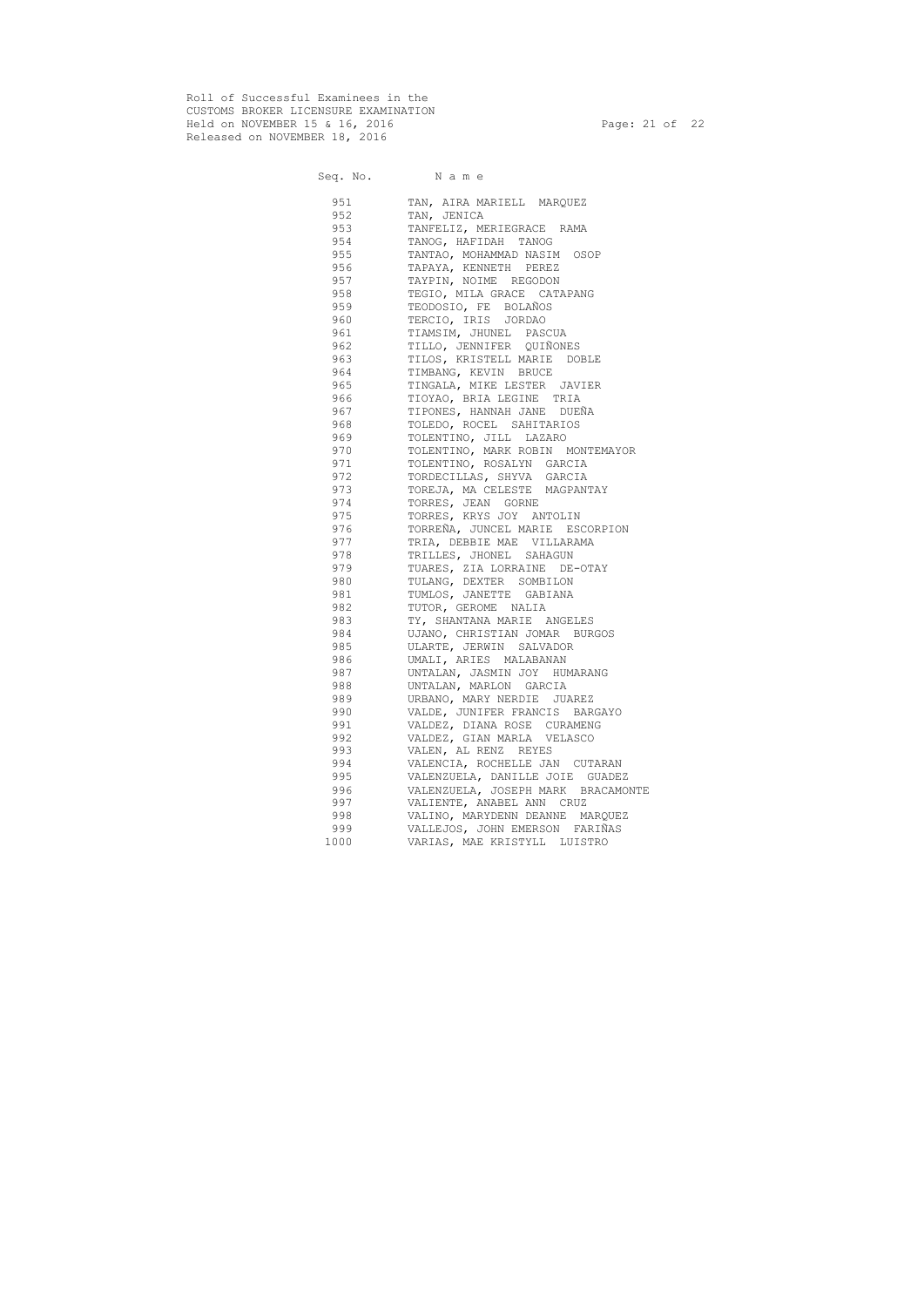Roll of Successful Examinees in the CUSTOMS BROKER LICENSURE EXAMINATION Held on NOVEMBER 15 & 16, 2016 Page: 21 of 22 Released on NOVEMBER 18, 2016

|                                                                                                                                                                                                                                | Seq. No. Name                      |
|--------------------------------------------------------------------------------------------------------------------------------------------------------------------------------------------------------------------------------|------------------------------------|
| 951                                                                                                                                                                                                                            | TAN, AIRA MARIELL MARQUEZ          |
| 952                                                                                                                                                                                                                            | TAN, JENICA                        |
| 953                                                                                                                                                                                                                            | TANFELIZ, MERIEGRACE RAMA          |
| 954                                                                                                                                                                                                                            | TANOG, HAFIDAH TANOG               |
| 955 700                                                                                                                                                                                                                        | TANTAO, MOHAMMAD NASIM OSOP        |
| 956 19                                                                                                                                                                                                                         | TAPAYA, KENNETH PEREZ              |
| 957                                                                                                                                                                                                                            | TAYPIN, NOIME REGODON              |
| 958                                                                                                                                                                                                                            | TEGIO, MILA GRACE CATAPANG         |
| 959 — 100                                                                                                                                                                                                                      | TEODOSIO, FE BOLAÑOS               |
| 960 — 100                                                                                                                                                                                                                      | TERCIO, IRIS JORDAO                |
| 961 — 100                                                                                                                                                                                                                      | TIAMSIM, JHUNEL PASCUA             |
| 962   1980   1980   1980   1980   1980   1980   1980   1980   1980   1980   1980   1980   1980   1980   1980   1980   1980   1980   1980   1980   1980   1980   1980   1980   1980   1980   1980   1980   1980   1980   1980   | TILLO, JENNIFER QUIÑONES           |
| 963 — 100                                                                                                                                                                                                                      | TILOS, KRISTELL MARIE DOBLE        |
| 964 — 100                                                                                                                                                                                                                      | TIMBANG, KEVIN BRUCE               |
| 965 — 100                                                                                                                                                                                                                      | TINGALA, MIKE LESTER JAVIER        |
|                                                                                                                                                                                                                                | 966 TIOYAO, BRIA LEGINE TRIA       |
|                                                                                                                                                                                                                                | 967 TIPONES, HANNAH JANE DUEÑA     |
| 968 — 100                                                                                                                                                                                                                      | TOLEDO, ROCEL SAHITARIOS           |
| 969 — 10                                                                                                                                                                                                                       | TOLENTINO, JILL LAZARO             |
| 970 — 200                                                                                                                                                                                                                      | TOLENTINO, MARK ROBIN MONTEMAYOR   |
| 971 — 200                                                                                                                                                                                                                      | TOLENTINO, ROSALYN GARCIA          |
| 972 — 2007 — 2008 — 2010 — 2010 — 2010 — 2010 — 2010 — 2010 — 2010 — 2010 — 2010 — 2010 — 2010 — 2010 — 2010 — 2010 — 2010 — 2010 — 2010 — 2010 — 2010 — 2010 — 2010 — 2010 — 2010 — 2010 — 2010 — 2010 — 2010 — 2010 — 2020 — | TORDECILLAS, SHYVA GARCIA          |
|                                                                                                                                                                                                                                | 973 TOREJA, MA CELESTE MAGPANTAY   |
|                                                                                                                                                                                                                                | 974 TORRES, JEAN GORNE             |
| 975 — 100                                                                                                                                                                                                                      | TORRES, KRYS JOY ANTOLIN           |
| 976                                                                                                                                                                                                                            | TORREÑA, JUNCEL MARIE ESCORPION    |
| 977 — 200                                                                                                                                                                                                                      | TRIA, DEBBIE MAE VILLARAMA         |
| 978                                                                                                                                                                                                                            | TRILLES, JHONEL SAHAGUN            |
| 979                                                                                                                                                                                                                            | TUARES, ZIA LORRAINE DE-OTAY       |
| 980 — 1980 — 1980 — 1980 — 1980 — 1980 — 1980 — 1980 — 1980 — 1980 — 1980 — 1980 — 1980 — 1980 — 1980 — 1980 — 1980 — 1980 — 1980 — 1980 — 1980 — 1980 — 1980 — 1980 — 1980 — 1980 — 1980 — 1980 — 1980 — 1980 — 1980 — 1980 — | TULANG, DEXTER SOMBILON            |
| 981 000                                                                                                                                                                                                                        | TUMLOS, JANETTE GABIANA            |
|                                                                                                                                                                                                                                | 982 TUTOR, GEROME NALIA            |
| 983                                                                                                                                                                                                                            | TY, SHANTANA MARIE ANGELES         |
| 984                                                                                                                                                                                                                            | UJANO, CHRISTIAN JOMAR BURGOS      |
| 985                                                                                                                                                                                                                            | ULARTE, JERWIN SALVADOR            |
| 986                                                                                                                                                                                                                            | UMALI, ARIES MALABANAN             |
| 987                                                                                                                                                                                                                            | UNTALAN, JASMIN JOY HUMARANG       |
| 988                                                                                                                                                                                                                            | UNTALAN, MARLON GARCIA             |
| 989                                                                                                                                                                                                                            | URBANO, MARY NERDIE JUAREZ         |
| 990                                                                                                                                                                                                                            | VALDE, JUNIFER FRANCIS BARGAYO     |
| 991                                                                                                                                                                                                                            | VALDEZ, DIANA ROSE CURAMENG        |
| 992                                                                                                                                                                                                                            | VALDEZ, GIAN MARLA VELASCO         |
| 993                                                                                                                                                                                                                            | VALEN, AL RENZ REYES               |
| 994                                                                                                                                                                                                                            | VALENCIA, ROCHELLE JAN CUTARAN     |
| 995                                                                                                                                                                                                                            | VALENZUELA, DANILLE JOIE GUADEZ    |
| 996                                                                                                                                                                                                                            | VALENZUELA, JOSEPH MARK BRACAMONTE |
| 997                                                                                                                                                                                                                            | VALIENTE, ANABEL ANN<br>CRUZ       |
| 998                                                                                                                                                                                                                            | VALINO, MARYDENN DEANNE MARQUEZ    |
| 999                                                                                                                                                                                                                            | VALLEJOS, JOHN EMERSON FARIÑAS     |
| 1000                                                                                                                                                                                                                           | VARIAS, MAE KRISTYLL LUISTRO       |
|                                                                                                                                                                                                                                |                                    |